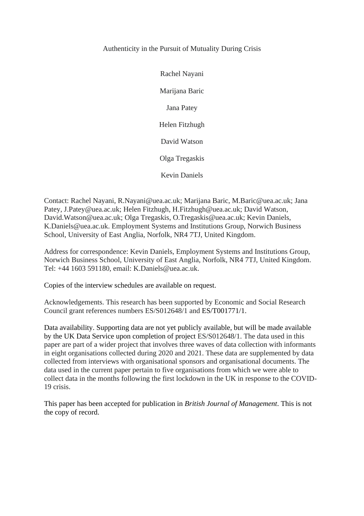# Authenticity in the Pursuit of Mutuality During Crisis

Rachel Nayani Marijana Baric Jana Patey Helen Fitzhugh David Watson Olga Tregaskis Kevin Daniels

Contact: Rachel Nayani, R.Nayani@uea.ac.uk; Marijana Baric, M.Baric@uea.ac.uk; Jana Patey, J.Patey@uea.ac.uk; Helen Fitzhugh, H.Fitzhugh@uea.ac.uk; David Watson, David.Watson@uea.ac.uk; Olga Tregaskis, O.Tregaskis@uea.ac.uk; Kevin Daniels, K.Daniels@uea.ac.uk. Employment Systems and Institutions Group, Norwich Business School, University of East Anglia, Norfolk, NR4 7TJ, United Kingdom.

Address for correspondence: Kevin Daniels, Employment Systems and Institutions Group, Norwich Business School, University of East Anglia, Norfolk, NR4 7TJ, United Kingdom. Tel: +44 1603 591180, email: K.Daniels@uea.ac.uk.

Copies of the interview schedules are available on request.

Acknowledgements. This research has been supported by Economic and Social Research Council grant references numbers ES/S012648/1 and ES/T001771/1.

Data availability. Supporting data are not yet publicly available, but will be made available by the UK Data Service upon completion of project ES/S012648/1. The data used in this paper are part of a wider project that involves three waves of data collection with informants in eight organisations collected during 2020 and 2021. These data are supplemented by data collected from interviews with organisational sponsors and organisational documents. The data used in the current paper pertain to five organisations from which we were able to collect data in the months following the first lockdown in the UK in response to the COVID-19 crisis.

This paper has been accepted for publication in *British Journal of Management*. This is not the copy of record.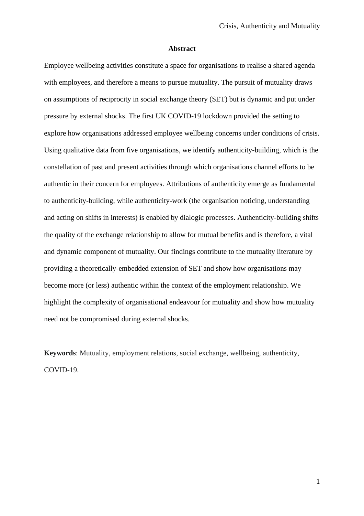#### **Abstract**

Employee wellbeing activities constitute a space for organisations to realise a shared agenda with employees, and therefore a means to pursue mutuality. The pursuit of mutuality draws on assumptions of reciprocity in social exchange theory (SET) but is dynamic and put under pressure by external shocks. The first UK COVID-19 lockdown provided the setting to explore how organisations addressed employee wellbeing concerns under conditions of crisis. Using qualitative data from five organisations, we identify authenticity-building, which is the constellation of past and present activities through which organisations channel efforts to be authentic in their concern for employees. Attributions of authenticity emerge as fundamental to authenticity-building, while authenticity-work (the organisation noticing, understanding and acting on shifts in interests) is enabled by dialogic processes. Authenticity-building shifts the quality of the exchange relationship to allow for mutual benefits and is therefore, a vital and dynamic component of mutuality. Our findings contribute to the mutuality literature by providing a theoretically-embedded extension of SET and show how organisations may become more (or less) authentic within the context of the employment relationship. We highlight the complexity of organisational endeavour for mutuality and show how mutuality need not be compromised during external shocks.

**Keywords**: Mutuality, employment relations, social exchange, wellbeing, authenticity, COVID-19.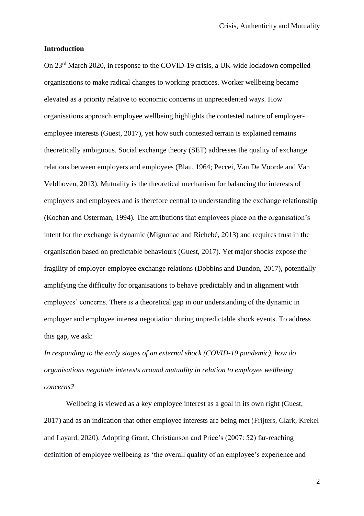#### **Introduction**

On 23rd March 2020, in response to the COVID-19 crisis, a UK-wide lockdown compelled organisations to make radical changes to working practices. Worker wellbeing became elevated as a priority relative to economic concerns in unprecedented ways. How organisations approach employee wellbeing highlights the contested nature of employeremployee interests (Guest, 2017), yet how such contested terrain is explained remains theoretically ambiguous. Social exchange theory (SET) addresses the quality of exchange relations between employers and employees (Blau, 1964; Peccei, Van De Voorde and Van Veldhoven, 2013). Mutuality is the theoretical mechanism for balancing the interests of employers and employees and is therefore central to understanding the exchange relationship (Kochan and Osterman, 1994). The attributions that employees place on the organisation's intent for the exchange is dynamic (Mignonac and Richebé, 2013) and requires trust in the organisation based on predictable behaviours (Guest, 2017). Yet major shocks expose the fragility of employer-employee exchange relations (Dobbins and Dundon, 2017), potentially amplifying the difficulty for organisations to behave predictably and in alignment with employees' concerns. There is a theoretical gap in our understanding of the dynamic in employer and employee interest negotiation during unpredictable shock events. To address this gap, we ask:

*In responding to the early stages of an external shock (COVID-19 pandemic), how do organisations negotiate interests around mutuality in relation to employee wellbeing concerns?* 

Wellbeing is viewed as a key employee interest as a goal in its own right (Guest, 2017) and as an indication that other employee interests are being met (Frijters, Clark, Krekel and Layard, 2020). Adopting Grant, Christianson and Price's (2007: 52) far-reaching definition of employee wellbeing as 'the overall quality of an employee's experience and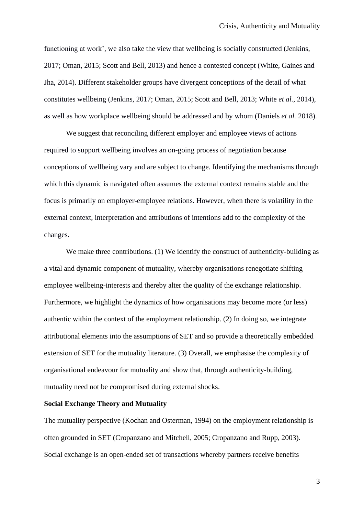functioning at work', we also take the view that wellbeing is socially constructed (Jenkins, 2017; Oman, 2015; Scott and Bell, 2013) and hence a contested concept (White, Gaines and Jha, 2014). Different stakeholder groups have divergent conceptions of the detail of what constitutes wellbeing (Jenkins, 2017; Oman, 2015; Scott and Bell, 2013; White *et al.*, 2014), as well as how workplace wellbeing should be addressed and by whom (Daniels *et al.* 2018).

We suggest that reconciling different employer and employee views of actions required to support wellbeing involves an on-going process of negotiation because conceptions of wellbeing vary and are subject to change. Identifying the mechanisms through which this dynamic is navigated often assumes the external context remains stable and the focus is primarily on employer-employee relations. However, when there is volatility in the external context, interpretation and attributions of intentions add to the complexity of the changes.

We make three contributions. (1) We identify the construct of authenticity-building as a vital and dynamic component of mutuality, whereby organisations renegotiate shifting employee wellbeing-interests and thereby alter the quality of the exchange relationship. Furthermore, we highlight the dynamics of how organisations may become more (or less) authentic within the context of the employment relationship. (2) In doing so, we integrate attributional elements into the assumptions of SET and so provide a theoretically embedded extension of SET for the mutuality literature. (3) Overall, we emphasise the complexity of organisational endeavour for mutuality and show that, through authenticity-building, mutuality need not be compromised during external shocks.

#### **Social Exchange Theory and Mutuality**

The mutuality perspective (Kochan and Osterman, 1994) on the employment relationship is often grounded in SET (Cropanzano and Mitchell, 2005; Cropanzano and Rupp, 2003). Social exchange is an open-ended set of transactions whereby partners receive benefits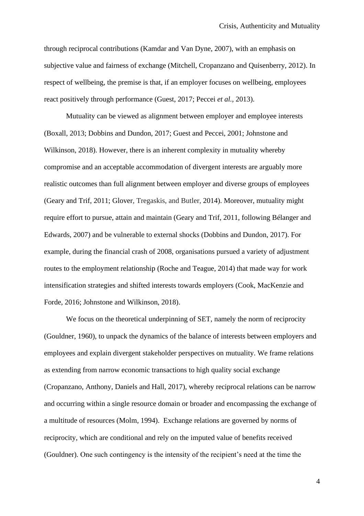through reciprocal contributions (Kamdar and Van Dyne, 2007), with an emphasis on subjective value and fairness of exchange (Mitchell, Cropanzano and Quisenberry, 2012). In respect of wellbeing, the premise is that, if an employer focuses on wellbeing, employees react positively through performance (Guest, 2017; Peccei *et al.*, 2013).

Mutuality can be viewed as alignment between employer and employee interests (Boxall, 2013; Dobbins and Dundon, 2017; Guest and Peccei, 2001; Johnstone and Wilkinson, 2018). However, there is an inherent complexity in mutuality whereby compromise and an acceptable accommodation of divergent interests are arguably more realistic outcomes than full alignment between employer and diverse groups of employees (Geary and Trif, 2011; Glover, Tregaskis, and Butler, 2014). Moreover, mutuality might require effort to pursue, attain and maintain (Geary and Trif, 2011, following Bélanger and Edwards, 2007) and be vulnerable to external shocks (Dobbins and Dundon, 2017). For example, during the financial crash of 2008, organisations pursued a variety of adjustment routes to the employment relationship (Roche and Teague, 2014) that made way for work intensification strategies and shifted interests towards employers (Cook, MacKenzie and Forde, 2016; Johnstone and Wilkinson, 2018).

We focus on the theoretical underpinning of SET, namely the norm of reciprocity (Gouldner, 1960), to unpack the dynamics of the balance of interests between employers and employees and explain divergent stakeholder perspectives on mutuality. We frame relations as extending from narrow economic transactions to high quality social exchange (Cropanzano, Anthony, Daniels and Hall, 2017), whereby reciprocal relations can be narrow and occurring within a single resource domain or broader and encompassing the exchange of a multitude of resources (Molm, 1994). Exchange relations are governed by norms of reciprocity, which are conditional and rely on the imputed value of benefits received (Gouldner). One such contingency is the intensity of the recipient's need at the time the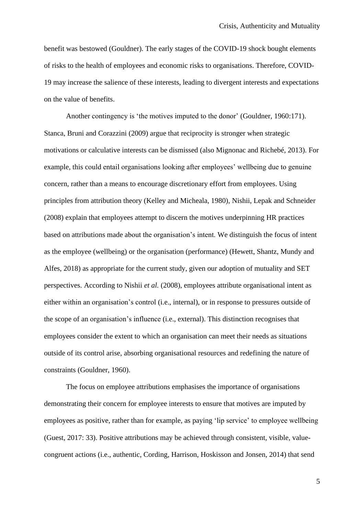benefit was bestowed (Gouldner). The early stages of the COVID-19 shock bought elements of risks to the health of employees and economic risks to organisations. Therefore, COVID-19 may increase the salience of these interests, leading to divergent interests and expectations on the value of benefits.

Another contingency is 'the motives imputed to the donor' (Gouldner, 1960:171). Stanca, Bruni and Corazzini (2009) argue that reciprocity is stronger when strategic motivations or calculative interests can be dismissed (also Mignonac and Richebé, 2013). For example, this could entail organisations looking after employees' wellbeing due to genuine concern, rather than a means to encourage discretionary effort from employees. Using principles from attribution theory (Kelley and Micheala, 1980), Nishii, Lepak and Schneider (2008) explain that employees attempt to discern the motives underpinning HR practices based on attributions made about the organisation's intent. We distinguish the focus of intent as the employee (wellbeing) or the organisation (performance) (Hewett, Shantz, Mundy and Alfes, 2018) as appropriate for the current study, given our adoption of mutuality and SET perspectives. According to Nishii *et al.* (2008), employees attribute organisational intent as either within an organisation's control (i.e., internal), or in response to pressures outside of the scope of an organisation's influence (i.e., external). This distinction recognises that employees consider the extent to which an organisation can meet their needs as situations outside of its control arise, absorbing organisational resources and redefining the nature of constraints (Gouldner, 1960).

The focus on employee attributions emphasises the importance of organisations demonstrating their concern for employee interests to ensure that motives are imputed by employees as positive, rather than for example, as paying 'lip service' to employee wellbeing (Guest, 2017: 33). Positive attributions may be achieved through consistent, visible, valuecongruent actions (i.e., authentic, Cording, Harrison, Hoskisson and Jonsen, 2014) that send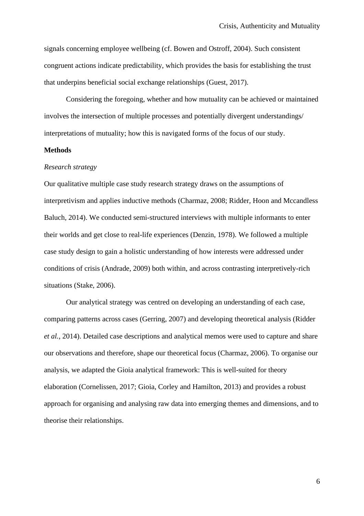signals concerning employee wellbeing (cf. Bowen and Ostroff, 2004). Such consistent congruent actions indicate predictability, which provides the basis for establishing the trust that underpins beneficial social exchange relationships (Guest, 2017).

Considering the foregoing, whether and how mutuality can be achieved or maintained involves the intersection of multiple processes and potentially divergent understandings/ interpretations of mutuality; how this is navigated forms of the focus of our study.

### **Methods**

#### *Research strategy*

Our qualitative multiple case study research strategy draws on the assumptions of interpretivism and applies inductive methods (Charmaz, 2008; Ridder, Hoon and Mccandless Baluch*,* 2014). We conducted semi-structured interviews with multiple informants to enter their worlds and get close to real-life experiences (Denzin, 1978). We followed a multiple case study design to gain a holistic understanding of how interests were addressed under conditions of crisis (Andrade, 2009) both within, and across contrasting interpretively-rich situations (Stake, 2006).

Our analytical strategy was centred on developing an understanding of each case, comparing patterns across cases (Gerring, 2007) and developing theoretical analysis (Ridder *et al.*, 2014). Detailed case descriptions and analytical memos were used to capture and share our observations and therefore, shape our theoretical focus (Charmaz, 2006). To organise our analysis, we adapted the Gioia analytical framework: This is well-suited for theory elaboration (Cornelissen, 2017; Gioia, Corley and Hamilton, 2013) and provides a robust approach for organising and analysing raw data into emerging themes and dimensions, and to theorise their relationships.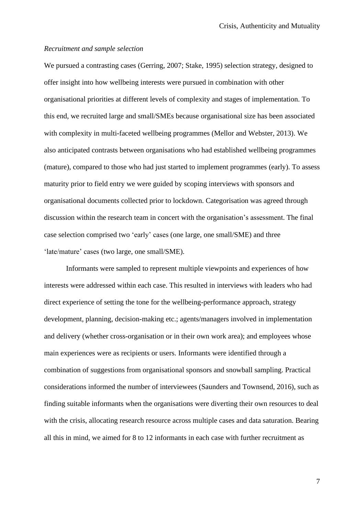#### *Recruitment and sample selection*

We pursued a contrasting cases (Gerring, 2007; Stake, 1995) selection strategy, designed to offer insight into how wellbeing interests were pursued in combination with other organisational priorities at different levels of complexity and stages of implementation. To this end, we recruited large and small/SMEs because organisational size has been associated with complexity in multi-faceted wellbeing programmes (Mellor and Webster, 2013). We also anticipated contrasts between organisations who had established wellbeing programmes (mature), compared to those who had just started to implement programmes (early). To assess maturity prior to field entry we were guided by scoping interviews with sponsors and organisational documents collected prior to lockdown. Categorisation was agreed through discussion within the research team in concert with the organisation's assessment. The final case selection comprised two 'early' cases (one large, one small/SME) and three 'late/mature' cases (two large, one small/SME).

Informants were sampled to represent multiple viewpoints and experiences of how interests were addressed within each case. This resulted in interviews with leaders who had direct experience of setting the tone for the wellbeing-performance approach, strategy development, planning, decision-making etc.; agents/managers involved in implementation and delivery (whether cross-organisation or in their own work area); and employees whose main experiences were as recipients or users. Informants were identified through a combination of suggestions from organisational sponsors and snowball sampling. Practical considerations informed the number of interviewees (Saunders and Townsend, 2016), such as finding suitable informants when the organisations were diverting their own resources to deal with the crisis, allocating research resource across multiple cases and data saturation. Bearing all this in mind, we aimed for 8 to 12 informants in each case with further recruitment as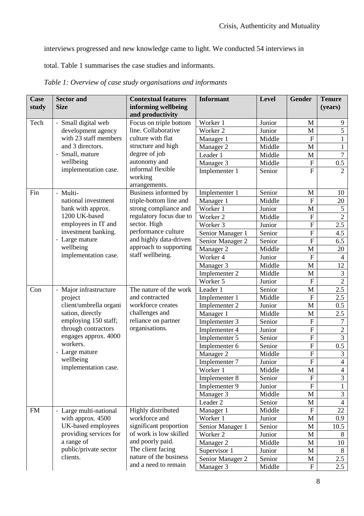interviews progressed and new knowledge came to light. We conducted 54 interviews in

total. Table 1 summarises the case studies and informants.

| <b>Case</b> | <b>Sector and</b>      | <b>Contextual features</b> | <b>Informant</b>    | <b>Level</b> | <b>Gender</b>             | <b>Tenure</b>    |
|-------------|------------------------|----------------------------|---------------------|--------------|---------------------------|------------------|
| study       | <b>Size</b>            | informing wellbeing        |                     |              |                           | (years)          |
|             |                        | and productivity           |                     |              |                           |                  |
| Tech        | - Small digital web    | Focus on triple bottom     | Worker 1            | Junior       | M                         | 9                |
|             | development agency     | line. Collaborative        | Worker <sub>2</sub> | Junior       | M                         | 5                |
|             | with 23 staff members  | culture with flat          | Manager 1           | Middle       | $\overline{F}$            | $\mathbf{1}$     |
|             | and 3 directors.       | structure and high         | Manager 2           | Middle       | $\mathbf{M}$              | 1                |
|             | - Small, mature        | degree of job              | Leader 1            | Middle       | $\mathbf M$               | $\tau$           |
|             | wellbeing              | autonomy and               | Manager 3           | Middle       | $\boldsymbol{\mathrm{F}}$ | 0.5              |
|             | implementation case.   | informal flexible          | Implementer 1       | Senior       | $\overline{F}$            | $\overline{2}$   |
|             |                        | working                    |                     |              |                           |                  |
|             |                        | arrangements.              |                     |              |                           |                  |
| Fin         | - Multi-               | Business informed by       | Implementer 1       | Senior       | $\mathbf{M}$              | 10               |
|             | national investment    | triple-bottom line and     | Manager 1           | Middle       | $\mathbf F$               | 20               |
|             | bank with approx.      | strong compliance and      | Worker 1            | Junior       | $\mathbf M$               | 5                |
|             | 1200 UK-based          | regulatory focus due to    | Worker 2            | Middle       | ${\bf F}$                 | $\overline{2}$   |
|             | employees in IT and    | sector. High               | Worker 3            | Junior       | ${\bf F}$                 | 2.5              |
|             | investment banking.    | performance culture        | Senior Manager 1    | Senior       | ${\bf F}$                 | 4.5              |
|             | - Large mature         | and highly data-driven     | Senior Manager 2    | Senior       | $\overline{F}$            | 6.5              |
|             | wellbeing              | approach to supporting     | Manager 2           | Middle       | $\mathbf M$               | 20               |
|             | implementation case.   | staff wellbeing.           | Worker 4            | Junior       | $\mathbf F$               | $\overline{4}$   |
|             |                        |                            | Manager 3           | Middle       | M                         | 12               |
|             |                        |                            | Implementer 2       | Middle       | $\mathbf{M}$              | 3                |
|             |                        |                            | Worker 5            | Junior       | ${\bf F}$                 | $\overline{2}$   |
| Con         | - Major infrastructure | The nature of the work     | Leader 1            | Senior       | $\mathbf{M}$              | $\overline{2.5}$ |
|             | project                | and contracted             | Implementer 1       | Middle       | $\boldsymbol{\mathrm{F}}$ | 2.5              |
|             | client/umbrella organi | workforce creates          | Implementer 2       | Junior       | $\mathbf M$               | 0.5              |
|             | sation, directly       | challenges and             | Manager 1           | Middle       | $\mathbf{M}$              | 2.5              |
|             | employing 150 staff;   | reliance on partner        | Implementer 3       | Senior       | ${\bf F}$                 | 7                |
|             | through contractors    | organisations.             | Implementer 4       | Junior       | $\mathbf F$               | $\overline{2}$   |
|             | engages approx. 4000   |                            | Implementer 5       | Senior       | ${\bf F}$                 | $\overline{3}$   |
|             | workers.               |                            | Implementer 6       | Senior       | $\overline{F}$            | 0.5              |
|             | - Large mature         |                            | Manager 2           | Middle       | ${\bf F}$                 | 3                |
|             | wellbeing              |                            | Implementer 7       | Junior       | $\mathbf F$               | $\overline{4}$   |
|             | implementation case.   |                            | Worker 1            | Middle       | $\overline{M}$            | $\overline{4}$   |
|             |                        |                            | Implementer 8       | Senior       | ${\bf F}$                 | 3                |
|             |                        |                            | Implementer 9       | Junior       | ${\bf F}$                 | $\mathbf{1}$     |
|             |                        |                            | Manager 3           | Middle       | $\mathbf M$               | 3                |
|             |                        |                            | Leader 2            | Senior       | $\mathbf{M}$              | $\overline{4}$   |
| <b>FM</b>   | - Large multi-national | Highly distributed         | Manager 1           | Middle       | ${\bf F}$                 | 22               |
|             | with approx. 4500      | workforce and              | Worker 1            | Junior       | M                         | 0.9              |
|             | UK-based employees     | significant proportion     | Senior Manager 1    | Senior       | M                         | 10.5             |
|             | providing services for | of work is low skilled     | Worker 2            | Junior       | $\mathbf M$               | 8                |
|             | a range of             | and poorly paid.           | Manager 2           | Middle       | $\mathbf M$               | 10               |
|             | public/private sector  | The client facing          | Supervisor 1        | Junior       | $\mathbf M$               | 8                |
|             | clients.               | nature of the business     | Senior Manager 2    | Senior       | M                         | 2.5              |
|             |                        | and a need to remain       | Manager 3           | Middle       | $\mathbf{F}$              | 2.5              |

*Table 1: Overview of case study organisations and informants*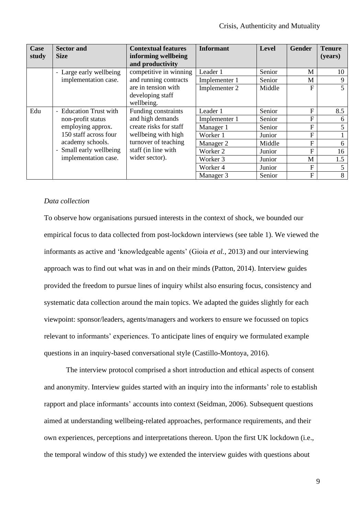| Case<br>study | <b>Sector and</b><br><b>Size</b> | <b>Contextual features</b><br>informing wellbeing | <b>Informant</b> | Level  | <b>Gender</b> | <b>Tenure</b><br>(years) |
|---------------|----------------------------------|---------------------------------------------------|------------------|--------|---------------|--------------------------|
|               |                                  | and productivity                                  |                  |        |               |                          |
|               | - Large early wellbeing          | competitive in winning                            | Leader 1         | Senior | M             | 10                       |
|               | implementation case.             | and running contracts                             | Implementer 1    | Senior | M             | 9                        |
|               |                                  | are in tension with                               | Implementer 2    | Middle | F             | 5                        |
|               |                                  | developing staff                                  |                  |        |               |                          |
|               |                                  | wellbeing.                                        |                  |        |               |                          |
| Edu           | - Education Trust with           | Funding constraints                               | Leader 1         | Senior | F             | 8.5                      |
|               | non-profit status                | and high demands                                  | Implementer 1    | Senior | F             | 6                        |
|               | employing approx.                | create risks for staff                            | Manager 1        | Senior | F             | 5                        |
|               | 150 staff across four            | wellbeing with high                               | Worker 1         | Junior | F             | $\mathbf{1}$             |
|               | academy schools.                 | turnover of teaching                              | Manager 2        | Middle | F             | 6                        |
|               | - Small early wellbeing          | staff (in line with                               | Worker 2         | Junior | F             | 16                       |
|               | implementation case.             | wider sector).                                    | Worker 3         | Junior | M             | 1.5                      |
|               |                                  |                                                   | Worker 4         | Junior | F             | 5                        |
|               |                                  |                                                   | Manager 3        | Senior | F             | 8                        |

### *Data collection*

To observe how organisations pursued interests in the context of shock, we bounded our empirical focus to data collected from post-lockdown interviews (see table 1). We viewed the informants as active and 'knowledgeable agents' (Gioia *et al.*, 2013) and our interviewing approach was to find out what was in and on their minds (Patton, 2014). Interview guides provided the freedom to pursue lines of inquiry whilst also ensuring focus, consistency and systematic data collection around the main topics. We adapted the guides slightly for each viewpoint: sponsor/leaders, agents/managers and workers to ensure we focussed on topics relevant to informants' experiences. To anticipate lines of enquiry we formulated example questions in an inquiry-based conversational style (Castillo-Montoya, 2016).

The interview protocol comprised a short introduction and ethical aspects of consent and anonymity. Interview guides started with an inquiry into the informants' role to establish rapport and place informants' accounts into context (Seidman, 2006). Subsequent questions aimed at understanding wellbeing-related approaches, performance requirements, and their own experiences, perceptions and interpretations thereon. Upon the first UK lockdown (i.e., the temporal window of this study) we extended the interview guides with questions about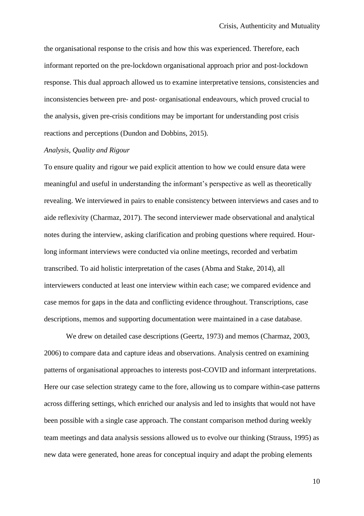the organisational response to the crisis and how this was experienced. Therefore, each informant reported on the pre-lockdown organisational approach prior and post-lockdown response. This dual approach allowed us to examine interpretative tensions, consistencies and inconsistencies between pre- and post- organisational endeavours, which proved crucial to the analysis, given pre-crisis conditions may be important for understanding post crisis reactions and perceptions (Dundon and Dobbins, 2015).

### *Analysis, Quality and Rigour*

To ensure quality and rigour we paid explicit attention to how we could ensure data were meaningful and useful in understanding the informant's perspective as well as theoretically revealing. We interviewed in pairs to enable consistency between interviews and cases and to aide reflexivity (Charmaz, 2017). The second interviewer made observational and analytical notes during the interview, asking clarification and probing questions where required. Hourlong informant interviews were conducted via online meetings, recorded and verbatim transcribed. To aid holistic interpretation of the cases (Abma and Stake, 2014), all interviewers conducted at least one interview within each case; we compared evidence and case memos for gaps in the data and conflicting evidence throughout. Transcriptions, case descriptions, memos and supporting documentation were maintained in a case database.

We drew on detailed case descriptions (Geertz, 1973) and memos (Charmaz, 2003, 2006) to compare data and capture ideas and observations. Analysis centred on examining patterns of organisational approaches to interests post-COVID and informant interpretations. Here our case selection strategy came to the fore, allowing us to compare within-case patterns across differing settings, which enriched our analysis and led to insights that would not have been possible with a single case approach. The constant comparison method during weekly team meetings and data analysis sessions allowed us to evolve our thinking (Strauss, 1995) as new data were generated, hone areas for conceptual inquiry and adapt the probing elements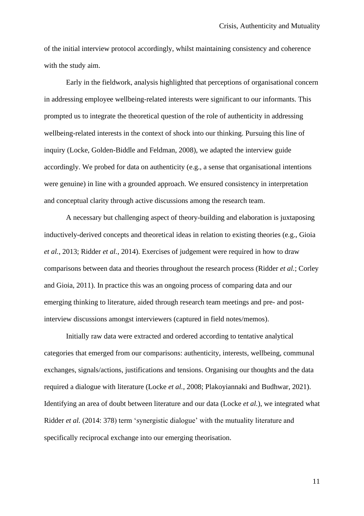of the initial interview protocol accordingly, whilst maintaining consistency and coherence with the study aim.

Early in the fieldwork, analysis highlighted that perceptions of organisational concern in addressing employee wellbeing-related interests were significant to our informants. This prompted us to integrate the theoretical question of the role of authenticity in addressing wellbeing-related interests in the context of shock into our thinking. Pursuing this line of inquiry (Locke, Golden-Biddle and Feldman, 2008), we adapted the interview guide accordingly. We probed for data on authenticity (e.g., a sense that organisational intentions were genuine) in line with a grounded approach. We ensured consistency in interpretation and conceptual clarity through active discussions among the research team.

A necessary but challenging aspect of theory-building and elaboration is juxtaposing inductively-derived concepts and theoretical ideas in relation to existing theories (e.g., Gioia *et al.*, 2013; Ridder *et al.*, 2014). Exercises of judgement were required in how to draw comparisons between data and theories throughout the research process (Ridder *et al.*; Corley and Gioia, 2011). In practice this was an ongoing process of comparing data and our emerging thinking to literature, aided through research team meetings and pre- and postinterview discussions amongst interviewers (captured in field notes/memos).

Initially raw data were extracted and ordered according to tentative analytical categories that emerged from our comparisons: authenticity, interests, wellbeing, communal exchanges, signals/actions, justifications and tensions. Organising our thoughts and the data required a dialogue with literature (Locke *et al.*, 2008; Plakoyiannaki and Budhwar, 2021). Identifying an area of doubt between literature and our data (Locke *et al.*), we integrated what Ridder *et al.* (2014: 378) term 'synergistic dialogue' with the mutuality literature and specifically reciprocal exchange into our emerging theorisation.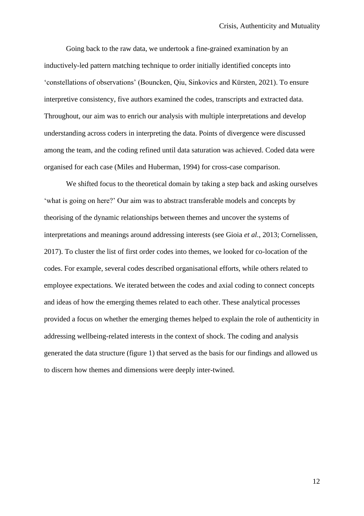Going back to the raw data, we undertook a fine-grained examination by an inductively-led pattern matching technique to order initially identified concepts into 'constellations of observations' (Bouncken, Qiu, Sinkovics and Kürsten, 2021). To ensure interpretive consistency, five authors examined the codes, transcripts and extracted data. Throughout, our aim was to enrich our analysis with multiple interpretations and develop understanding across coders in interpreting the data. Points of divergence were discussed among the team, and the coding refined until data saturation was achieved. Coded data were organised for each case (Miles and Huberman, 1994) for cross-case comparison.

We shifted focus to the theoretical domain by taking a step back and asking ourselves 'what is going on here?' Our aim was to abstract transferable models and concepts by theorising of the dynamic relationships between themes and uncover the systems of interpretations and meanings around addressing interests (see Gioia *et al.*, 2013; Cornelissen, 2017). To cluster the list of first order codes into themes, we looked for co-location of the codes. For example, several codes described organisational efforts, while others related to employee expectations. We iterated between the codes and axial coding to connect concepts and ideas of how the emerging themes related to each other. These analytical processes provided a focus on whether the emerging themes helped to explain the role of authenticity in addressing wellbeing-related interests in the context of shock. The coding and analysis generated the data structure (figure 1) that served as the basis for our findings and allowed us to discern how themes and dimensions were deeply inter-twined.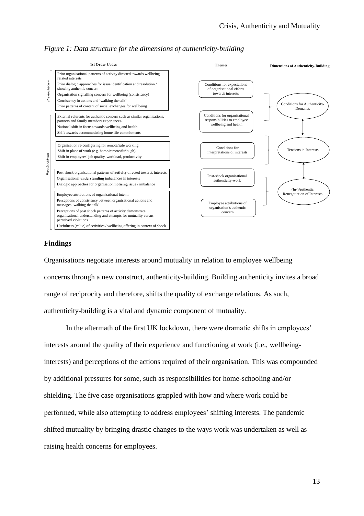



## **Findings**

Organisations negotiate interests around mutuality in relation to employee wellbeing concerns through a new construct, authenticity-building. Building authenticity invites a broad range of reciprocity and therefore, shifts the quality of exchange relations. As such, authenticity-building is a vital and dynamic component of mutuality.

In the aftermath of the first UK lockdown, there were dramatic shifts in employees' interests around the quality of their experience and functioning at work (i.e., wellbeinginterests) and perceptions of the actions required of their organisation. This was compounded by additional pressures for some, such as responsibilities for home-schooling and/or shielding. The five case organisations grappled with how and where work could be performed, while also attempting to address employees' shifting interests. The pandemic shifted mutuality by bringing drastic changes to the ways work was undertaken as well as raising health concerns for employees.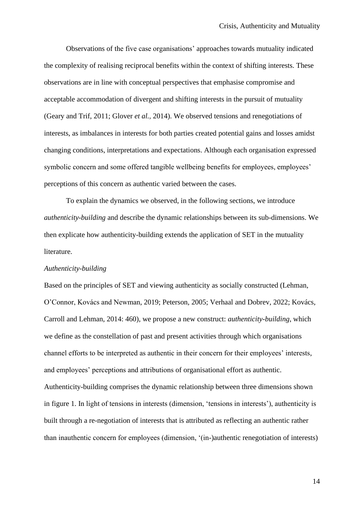Observations of the five case organisations' approaches towards mutuality indicated the complexity of realising reciprocal benefits within the context of shifting interests. These observations are in line with conceptual perspectives that emphasise compromise and acceptable accommodation of divergent and shifting interests in the pursuit of mutuality (Geary and Trif, 2011; Glover *et al.*, 2014). We observed tensions and renegotiations of interests, as imbalances in interests for both parties created potential gains and losses amidst changing conditions, interpretations and expectations. Although each organisation expressed symbolic concern and some offered tangible wellbeing benefits for employees, employees' perceptions of this concern as authentic varied between the cases.

To explain the dynamics we observed, in the following sections, we introduce *authenticity-building* and describe the dynamic relationships between its sub-dimensions. We then explicate how authenticity-building extends the application of SET in the mutuality literature.

### *Authenticity-building*

Based on the principles of SET and viewing authenticity as socially constructed (Lehman, O'Connor, Kovács and Newman, 2019; Peterson, 2005; Verhaal and Dobrev, 2022; Kovács, Carroll and Lehman, 2014: 460), we propose a new construct: *authenticity-building*, which we define as the constellation of past and present activities through which organisations channel efforts to be interpreted as authentic in their concern for their employees' interests, and employees' perceptions and attributions of organisational effort as authentic. Authenticity-building comprises the dynamic relationship between three dimensions shown in figure 1. In light of tensions in interests (dimension, 'tensions in interests'), authenticity is built through a re-negotiation of interests that is attributed as reflecting an authentic rather than inauthentic concern for employees (dimension, '(in-)authentic renegotiation of interests)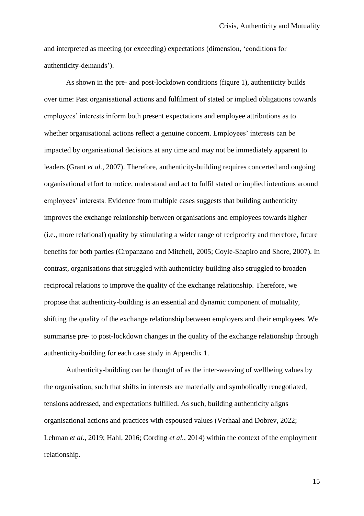and interpreted as meeting (or exceeding) expectations (dimension, 'conditions for authenticity-demands').

As shown in the pre- and post-lockdown conditions (figure 1), authenticity builds over time: Past organisational actions and fulfilment of stated or implied obligations towards employees' interests inform both present expectations and employee attributions as to whether organisational actions reflect a genuine concern. Employees' interests can be impacted by organisational decisions at any time and may not be immediately apparent to leaders (Grant *et al.*, 2007). Therefore, authenticity-building requires concerted and ongoing organisational effort to notice, understand and act to fulfil stated or implied intentions around employees' interests. Evidence from multiple cases suggests that building authenticity improves the exchange relationship between organisations and employees towards higher (i.e., more relational) quality by stimulating a wider range of reciprocity and therefore, future benefits for both parties (Cropanzano and Mitchell, 2005; Coyle-Shapiro and Shore, 2007). In contrast, organisations that struggled with authenticity-building also struggled to broaden reciprocal relations to improve the quality of the exchange relationship. Therefore, we propose that authenticity-building is an essential and dynamic component of mutuality, shifting the quality of the exchange relationship between employers and their employees. We summarise pre- to post-lockdown changes in the quality of the exchange relationship through authenticity-building for each case study in Appendix 1.

Authenticity-building can be thought of as the inter-weaving of wellbeing values by the organisation, such that shifts in interests are materially and symbolically renegotiated, tensions addressed, and expectations fulfilled. As such, building authenticity aligns organisational actions and practices with espoused values (Verhaal and Dobrev, 2022; Lehman *et al.*, 2019; Hahl, 2016; Cording *et al.*, 2014) within the context of the employment relationship.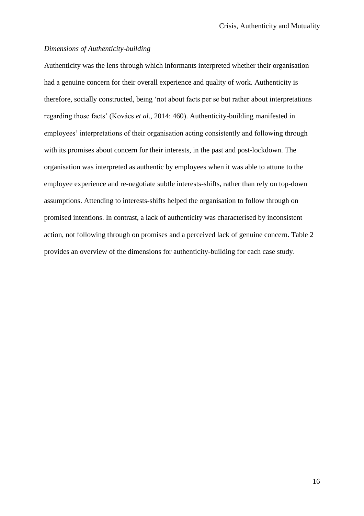### *Dimensions of Authenticity-building*

Authenticity was the lens through which informants interpreted whether their organisation had a genuine concern for their overall experience and quality of work. Authenticity is therefore, socially constructed, being 'not about facts per se but rather about interpretations regarding those facts' (Kovács *et al.*, 2014: 460). Authenticity-building manifested in employees' interpretations of their organisation acting consistently and following through with its promises about concern for their interests, in the past and post-lockdown. The organisation was interpreted as authentic by employees when it was able to attune to the employee experience and re-negotiate subtle interests-shifts, rather than rely on top-down assumptions. Attending to interests-shifts helped the organisation to follow through on promised intentions. In contrast, a lack of authenticity was characterised by inconsistent action, not following through on promises and a perceived lack of genuine concern. Table 2 provides an overview of the dimensions for authenticity-building for each case study.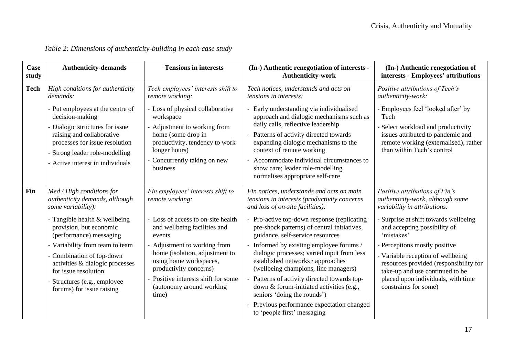| Case<br>study | <b>Authenticity-demands</b>                                                                                                                                                                                                                                                                                                                                    | <b>Tensions in interests</b>                                                                                                                                                                                                                                                                                                       | (In-) Authentic renegotiation of interests -<br><b>Authenticity-work</b>                                                                                                                                                                                                                                                                                                                                                                                                                                                                                                                                                               | (In-) Authentic renegotiation of<br>interests - Employees' attributions                                                                                                                                                                                                                                                                                                                                     |
|---------------|----------------------------------------------------------------------------------------------------------------------------------------------------------------------------------------------------------------------------------------------------------------------------------------------------------------------------------------------------------------|------------------------------------------------------------------------------------------------------------------------------------------------------------------------------------------------------------------------------------------------------------------------------------------------------------------------------------|----------------------------------------------------------------------------------------------------------------------------------------------------------------------------------------------------------------------------------------------------------------------------------------------------------------------------------------------------------------------------------------------------------------------------------------------------------------------------------------------------------------------------------------------------------------------------------------------------------------------------------------|-------------------------------------------------------------------------------------------------------------------------------------------------------------------------------------------------------------------------------------------------------------------------------------------------------------------------------------------------------------------------------------------------------------|
| <b>Tech</b>   | High conditions for authenticity<br>demands:                                                                                                                                                                                                                                                                                                                   | Tech employees' interests shift to<br>remote working:                                                                                                                                                                                                                                                                              | Tech notices, understands and acts on<br>tensions in interests:                                                                                                                                                                                                                                                                                                                                                                                                                                                                                                                                                                        | Positive attributions of Tech's<br>authenticity-work:                                                                                                                                                                                                                                                                                                                                                       |
|               | - Put employees at the centre of<br>decision-making<br>- Dialogic structures for issue<br>raising and collaborative<br>processes for issue resolution<br>Strong leader role-modelling<br>- Active interest in individuals                                                                                                                                      | - Loss of physical collaborative<br>workspace<br>- Adjustment to working from<br>home (some drop in<br>productivity, tendency to work<br>longer hours)<br>Concurrently taking on new<br>business                                                                                                                                   | Early understanding via individualised<br>approach and dialogic mechanisms such as<br>daily calls, reflective leadership<br>Patterns of activity directed towards<br>expanding dialogic mechanisms to the<br>context of remote working<br>Accommodate individual circumstances to<br>show care; leader role-modelling<br>normalises appropriate self-care                                                                                                                                                                                                                                                                              | - Employees feel 'looked after' by<br>Tech<br>Select workload and productivity<br>issues attributed to pandemic and<br>remote working (externalised), rather<br>than within Tech's control                                                                                                                                                                                                                  |
| Fin           | Med / High conditions for<br>authenticity demands, although<br>some variability):<br>- Tangible health & wellbeing<br>provision, but economic<br>(performance) messaging<br>- Variability from team to team<br>- Combination of top-down<br>activities & dialogic processes<br>for issue resolution<br>Structures (e.g., employee<br>forums) for issue raising | Fin employees' interests shift to<br>remote working:<br>Loss of access to on-site health<br>and wellbeing facilities and<br>events<br>- Adjustment to working from<br>home (isolation, adjustment to<br>using home workspaces,<br>productivity concerns)<br>Positive interests shift for some<br>(autonomy around working<br>time) | Fin notices, understands and acts on main<br>tensions in interests (productivity concerns<br>and loss of on-site facilities):<br>Pro-active top-down response (replicating<br>pre-shock patterns) of central initiatives,<br>guidance, self-service resources<br>Informed by existing employee forums /<br>dialogic processes; varied input from less<br>established networks / approaches<br>(wellbeing champions, line managers)<br>Patterns of activity directed towards top-<br>down & forum-initiated activities (e.g.,<br>seniors 'doing the rounds')<br>Previous performance expectation changed<br>to 'people first' messaging | Positive attributions of Fin's<br>authenticity-work, although some<br>variability in attributions:<br>- Surprise at shift towards wellbeing<br>and accepting possibility of<br>'mistakes'<br>- Perceptions mostly positive<br>- Variable reception of wellbeing<br>resources provided (responsibility for<br>take-up and use continued to be<br>placed upon individuals, with time<br>constraints for some) |

# *Table 2: Dimensions of authenticity-building in each case study*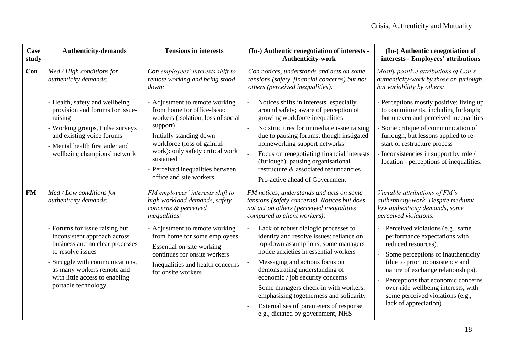| Case<br>study | <b>Authenticity-demands</b>                                                                                                                                                                                                                                                                         | <b>Tensions in interests</b>                                                                                                                                                                                                                                                                        | (In-) Authentic renegotiation of interests -<br><b>Authenticity-work</b>                                                                                                                                                                                                                                                                                                                                                                                                                                                                                                                                                                              | (In-) Authentic renegotiation of<br>interests - Employees' attributions                                                                                                                                                                                                                                                                                                                                                                                                             |
|---------------|-----------------------------------------------------------------------------------------------------------------------------------------------------------------------------------------------------------------------------------------------------------------------------------------------------|-----------------------------------------------------------------------------------------------------------------------------------------------------------------------------------------------------------------------------------------------------------------------------------------------------|-------------------------------------------------------------------------------------------------------------------------------------------------------------------------------------------------------------------------------------------------------------------------------------------------------------------------------------------------------------------------------------------------------------------------------------------------------------------------------------------------------------------------------------------------------------------------------------------------------------------------------------------------------|-------------------------------------------------------------------------------------------------------------------------------------------------------------------------------------------------------------------------------------------------------------------------------------------------------------------------------------------------------------------------------------------------------------------------------------------------------------------------------------|
| Con           | Med / High conditions for<br>authenticity demands:                                                                                                                                                                                                                                                  | Con employees' interests shift to<br>remote working and being stood<br>down:                                                                                                                                                                                                                        | Con notices, understands and acts on some<br>tensions (safety, financial concerns) but not<br>others (perceived inequalities):                                                                                                                                                                                                                                                                                                                                                                                                                                                                                                                        | Mostly positive attributions of Con's<br>authenticity-work by those on furlough,<br>but variability by others:                                                                                                                                                                                                                                                                                                                                                                      |
|               | - Health, safety and wellbeing<br>provision and forums for issue-<br>raising<br>- Working groups, Pulse surveys<br>and existing voice forums<br>- Mental health first aider and<br>wellbeing champions' network                                                                                     | - Adjustment to remote working<br>from home for office-based<br>workers (isolation, loss of social<br>support)<br>Initially standing down<br>workforce (loss of gainful<br>work): only safety critical work<br>sustained<br>- Perceived inequalities between<br>office and site workers             | Notices shifts in interests, especially<br>around safety; aware of perception of<br>growing workforce inequalities<br>No structures for immediate issue raising<br>$\overline{\phantom{a}}$<br>due to pausing forums, though instigated<br>homeworking support networks<br>Focus on renegotiating financial interests<br>(furlough); pausing organisational<br>restructure & associated redundancies                                                                                                                                                                                                                                                  | - Perceptions mostly positive: living up<br>to commitments, including furlough;<br>but uneven and perceived inequalities<br>- Some critique of communication of<br>furlough, but lessons applied to re-<br>start of restructure process<br>- Inconsistencies in support by role /<br>location - perceptions of inequalities.                                                                                                                                                        |
| <b>FM</b>     | Med / Low conditions for<br>authenticity demands:<br>- Forums for issue raising but<br>inconsistent approach across<br>business and no clear processes<br>to resolve issues<br>Struggle with communications,<br>as many workers remote and<br>with little access to enabling<br>portable technology | FM employees' interests shift to<br>high workload demands, safety<br>concerns & perceived<br>inequalities:<br>Adjustment to remote working<br>from home for some employees<br>- Essential on-site working<br>continues for onsite workers<br>Inequalities and health concerns<br>for onsite workers | Pro-active ahead of Government<br>FM notices, understands and acts on some<br>tensions (safety concerns). Notices but does<br>not act on others (perceived inequalities<br>compared to client workers):<br>Lack of robust dialogic processes to<br>identify and resolve issues: reliance on<br>top-down assumptions; some managers<br>notice anxieties in essential workers<br>Messaging and actions focus on<br>demonstrating understanding of<br>economic / job security concerns<br>Some managers check-in with workers,<br>emphasising togetherness and solidarity<br>Externalises of parameters of response<br>e.g., dictated by government, NHS | Variable attributions of FM's<br>authenticity-work. Despite medium/<br>low authenticity demands, some<br>perceived violations:<br>Perceived violations (e.g., same<br>performance expectations with<br>reduced resources).<br>Some perceptions of inauthenticity<br>(due to prior inconsistency and<br>nature of exchange relationships).<br>Perceptions that economic concerns<br>over-ride wellbeing interests, with<br>some perceived violations (e.g.,<br>lack of appreciation) |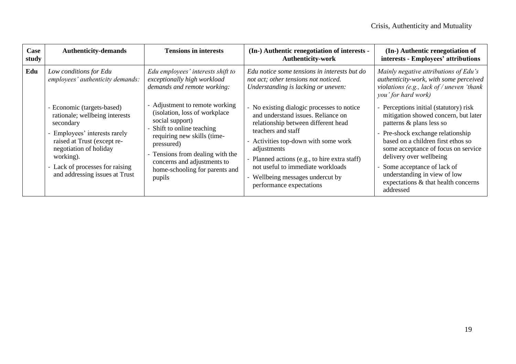| Case<br>study | <b>Authenticity-demands</b>                                                                                                                                                                                                                           | <b>Tensions in interests</b>                                                                                                                                                                                                                                               | (In-) Authentic renegotiation of interests -<br><b>Authenticity-work</b>                                                                                                                                                                                                                                                                                   | (In-) Authentic renegotiation of<br>interests - Employees' attributions                                                                                                                                                                                                                                                                                                   |
|---------------|-------------------------------------------------------------------------------------------------------------------------------------------------------------------------------------------------------------------------------------------------------|----------------------------------------------------------------------------------------------------------------------------------------------------------------------------------------------------------------------------------------------------------------------------|------------------------------------------------------------------------------------------------------------------------------------------------------------------------------------------------------------------------------------------------------------------------------------------------------------------------------------------------------------|---------------------------------------------------------------------------------------------------------------------------------------------------------------------------------------------------------------------------------------------------------------------------------------------------------------------------------------------------------------------------|
| Edu           | Low conditions for Edu<br>employees' authenticity demands:                                                                                                                                                                                            | Edu employees' interests shift to<br>exceptionally high workload<br>demands and remote working:                                                                                                                                                                            | Edu notice some tensions in interests but do<br>not act; other tensions not noticed.<br>Understanding is lacking or uneven:                                                                                                                                                                                                                                | Mainly negative attributions of Edu's<br>authenticity-work, with some perceived<br>violations (e.g., lack of / uneven 'thank<br>you' for hard work)                                                                                                                                                                                                                       |
|               | - Economic (targets-based)<br>rationale; wellbeing interests<br>secondary<br>- Employees' interests rarely<br>raised at Trust (except re-<br>negotiation of holiday<br>working).<br>- Lack of processes for raising<br>and addressing issues at Trust | - Adjustment to remote working<br>(isolation, loss of workplace<br>social support)<br>Shift to online teaching<br>requiring new skills (time-<br>pressured)<br>- Tensions from dealing with the<br>concerns and adjustments to<br>home-schooling for parents and<br>pupils | - No existing dialogic processes to notice<br>and understand issues. Reliance on<br>relationship between different head<br>teachers and staff<br>- Activities top-down with some work<br>adjustments<br>- Planned actions (e.g., to hire extra staff)<br>not useful to immediate workloads<br>- Wellbeing messages undercut by<br>performance expectations | - Perceptions initial (statutory) risk<br>mitigation showed concern, but later<br>patterns & plans less so<br>- Pre-shock exchange relationship<br>based on a children first ethos so<br>some acceptance of focus on service<br>delivery over wellbeing<br>Some acceptance of lack of<br>understanding in view of low<br>expectations & that health concerns<br>addressed |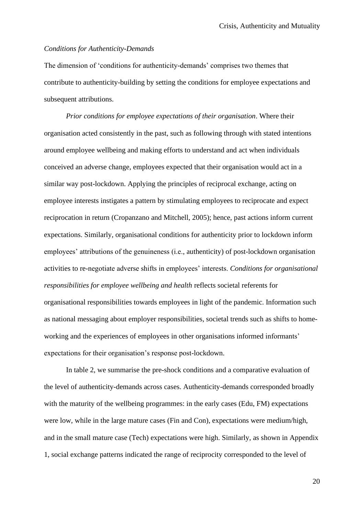### *Conditions for Authenticity-Demands*

The dimension of 'conditions for authenticity-demands' comprises two themes that contribute to authenticity-building by setting the conditions for employee expectations and subsequent attributions.

*Prior conditions for employee expectations of their organisation*. Where their organisation acted consistently in the past, such as following through with stated intentions around employee wellbeing and making efforts to understand and act when individuals conceived an adverse change, employees expected that their organisation would act in a similar way post-lockdown. Applying the principles of reciprocal exchange, acting on employee interests instigates a pattern by stimulating employees to reciprocate and expect reciprocation in return (Cropanzano and Mitchell, 2005); hence, past actions inform current expectations. Similarly, organisational conditions for authenticity prior to lockdown inform employees' attributions of the genuineness (i.e., authenticity) of post-lockdown organisation activities to re-negotiate adverse shifts in employees' interests. *Conditions for organisational responsibilities for employee wellbeing and health* reflects societal referents for organisational responsibilities towards employees in light of the pandemic. Information such as national messaging about employer responsibilities, societal trends such as shifts to homeworking and the experiences of employees in other organisations informed informants' expectations for their organisation's response post-lockdown.

In table 2, we summarise the pre-shock conditions and a comparative evaluation of the level of authenticity-demands across cases. Authenticity-demands corresponded broadly with the maturity of the wellbeing programmes: in the early cases (Edu, FM) expectations were low, while in the large mature cases (Fin and Con), expectations were medium/high, and in the small mature case (Tech) expectations were high. Similarly, as shown in Appendix 1, social exchange patterns indicated the range of reciprocity corresponded to the level of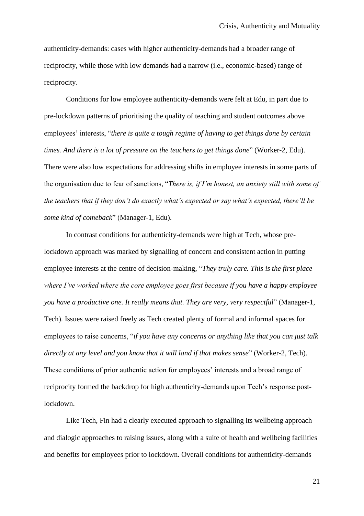authenticity-demands: cases with higher authenticity-demands had a broader range of reciprocity, while those with low demands had a narrow (i.e., economic-based) range of reciprocity.

Conditions for low employee authenticity-demands were felt at Edu, in part due to pre-lockdown patterns of prioritising the quality of teaching and student outcomes above employees' interests, "*there is quite a tough regime of having to get things done by certain times. And there is a lot of pressure on the teachers to get things done*" (Worker-2, Edu). There were also low expectations for addressing shifts in employee interests in some parts of the organisation due to fear of sanctions, "*There is, if I'm honest, an anxiety still with some of the teachers that if they don't do exactly what's expected or say what's expected, there'll be some kind of comeback*" (Manager-1, Edu).

In contrast conditions for authenticity-demands were high at Tech, whose prelockdown approach was marked by signalling of concern and consistent action in putting employee interests at the centre of decision-making, "*They truly care. This is the first place where I've worked where the core employee goes first because if you have a happy employee you have a productive one. It really means that. They are very, very respectful*" (Manager-1, Tech). Issues were raised freely as Tech created plenty of formal and informal spaces for employees to raise concerns, "*if you have any concerns or anything like that you can just talk directly at any level and you know that it will land if that makes sense*" (Worker-2, Tech). These conditions of prior authentic action for employees' interests and a broad range of reciprocity formed the backdrop for high authenticity-demands upon Tech's response postlockdown.

Like Tech, Fin had a clearly executed approach to signalling its wellbeing approach and dialogic approaches to raising issues, along with a suite of health and wellbeing facilities and benefits for employees prior to lockdown. Overall conditions for authenticity-demands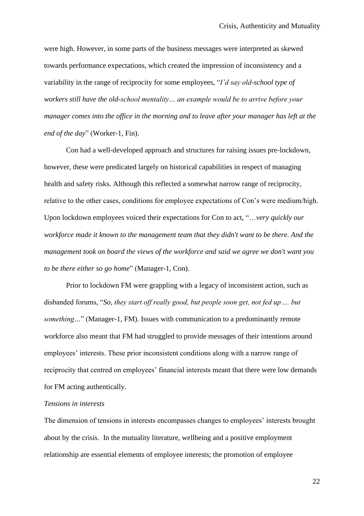were high. However, in some parts of the business messages were interpreted as skewed towards performance expectations, which created the impression of inconsistency and a variability in the range of reciprocity for some employees, "*I'd say old-school type of workers still have the old-school mentality… an example would be to arrive before your manager comes into the office in the morning and to leave after your manager has left at the end of the day*" (Worker-1, Fin).

Con had a well-developed approach and structures for raising issues pre-lockdown, however, these were predicated largely on historical capabilities in respect of managing health and safety risks. Although this reflected a somewhat narrow range of reciprocity, relative to the other cases, conditions for employee expectations of Con's were medium/high. Upon lockdown employees voiced their expectations for Con to act, "…*very quickly our workforce made it known to the management team that they didn't want to be there. And the management took on board the views of the workforce and said we agree we don't want you to be there either so go home*" (Manager-1, Con).

Prior to lockdown FM were grappling with a legacy of inconsistent action, such as disbanded forums, "*So, they start off really good, but people soon get, not fed up…. but something...*" (Manager-1, FM). Issues with communication to a predominantly remote workforce also meant that FM had struggled to provide messages of their intentions around employees' interests. These prior inconsistent conditions along with a narrow range of reciprocity that centred on employees' financial interests meant that there were low demands for FM acting authentically.

#### *Tensions in interests*

The dimension of tensions in interests encompasses changes to employees' interests brought about by the crisis. In the mutuality literature, wellbeing and a positive employment relationship are essential elements of employee interests; the promotion of employee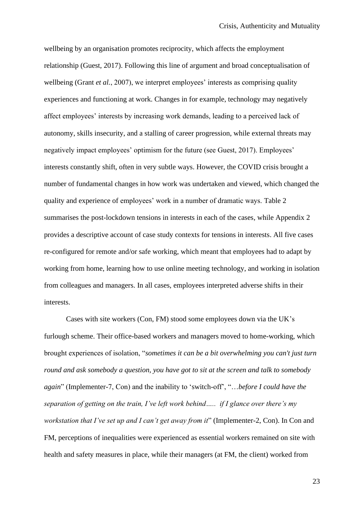wellbeing by an organisation promotes reciprocity, which affects the employment relationship (Guest, 2017). Following this line of argument and broad conceptualisation of wellbeing (Grant *et al.*, 2007), we interpret employees' interests as comprising quality experiences and functioning at work. Changes in for example, technology may negatively affect employees' interests by increasing work demands, leading to a perceived lack of autonomy, skills insecurity, and a stalling of career progression, while external threats may negatively impact employees' optimism for the future (see Guest, 2017). Employees' interests constantly shift, often in very subtle ways. However, the COVID crisis brought a number of fundamental changes in how work was undertaken and viewed, which changed the quality and experience of employees' work in a number of dramatic ways. Table 2 summarises the post-lockdown tensions in interests in each of the cases, while Appendix 2 provides a descriptive account of case study contexts for tensions in interests. All five cases re-configured for remote and/or safe working, which meant that employees had to adapt by working from home, learning how to use online meeting technology, and working in isolation from colleagues and managers. In all cases, employees interpreted adverse shifts in their interests.

Cases with site workers (Con, FM) stood some employees down via the UK's furlough scheme. Their office-based workers and managers moved to home-working, which brought experiences of isolation, "*sometimes it can be a bit overwhelming you can't just turn round and ask somebody a question, you have got to sit at the screen and talk to somebody again*" (Implementer-7, Con) and the inability to 'switch-off', "…*before I could have the separation of getting on the train, I've left work behind….. if I glance over there's my workstation that I've set up and I can't get away from it*" (Implementer-2, Con). In Con and FM, perceptions of inequalities were experienced as essential workers remained on site with health and safety measures in place, while their managers (at FM, the client) worked from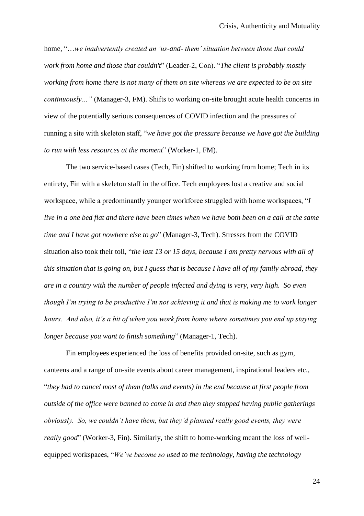home, "…*we inadvertently created an 'us-and- them' situation between those that could work from home and those that couldn't*" (Leader-2, Con). "*The client is probably mostly working from home there is not many of them on site whereas we are expected to be on site continuously…"* (Manager-3, FM). Shifts to working on-site brought acute health concerns in view of the potentially serious consequences of COVID infection and the pressures of running a site with skeleton staff, "*we have got the pressure because we have got the building to run with less resources at the moment*" (Worker-1, FM).

The two service-based cases (Tech, Fin) shifted to working from home; Tech in its entirety, Fin with a skeleton staff in the office. Tech employees lost a creative and social workspace, while a predominantly younger workforce struggled with home workspaces, "*I live in a one bed flat and there have been times when we have both been on a call at the same time and I have got nowhere else to go*" (Manager-3, Tech). Stresses from the COVID situation also took their toll, "*the last 13 or 15 days, because I am pretty nervous with all of this situation that is going on, but I guess that is because I have all of my family abroad, they are in a country with the number of people infected and dying is very, very high. So even though I'm trying to be productive I'm not achieving it and that is making me to work longer hours. And also, it's a bit of when you work from home where sometimes you end up staying longer because you want to finish something*" (Manager-1, Tech).

Fin employees experienced the loss of benefits provided on-site, such as gym, canteens and a range of on-site events about career management, inspirational leaders etc., "*they had to cancel most of them (talks and events) in the end because at first people from outside of the office were banned to come in and then they stopped having public gatherings obviously. So, we couldn't have them, but they'd planned really good events, they were really good*" (Worker-3, Fin). Similarly, the shift to home-working meant the loss of wellequipped workspaces, "*We've become so used to the technology, having the technology*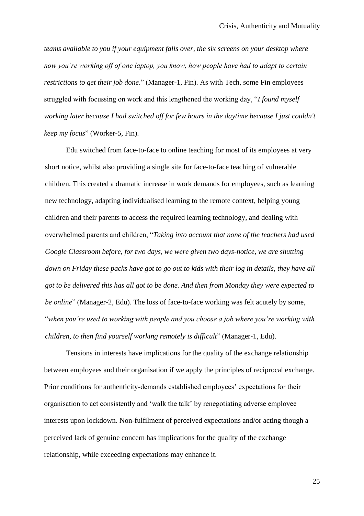*teams available to you if your equipment falls over, the six screens on your desktop where now you're working off of one laptop, you know, how people have had to adapt to certain restrictions to get their job done*." (Manager-1, Fin). As with Tech, some Fin employees struggled with focussing on work and this lengthened the working day, "*I found myself working later because I had switched off for few hours in the daytime because I just couldn't keep my focus*" (Worker-5, Fin).

Edu switched from face-to-face to online teaching for most of its employees at very short notice, whilst also providing a single site for face-to-face teaching of vulnerable children. This created a dramatic increase in work demands for employees, such as learning new technology, adapting individualised learning to the remote context, helping young children and their parents to access the required learning technology, and dealing with overwhelmed parents and children, "*Taking into account that none of the teachers had used Google Classroom before, for two days, we were given two days-notice, we are shutting down on Friday these packs have got to go out to kids with their log in details, they have all got to be delivered this has all got to be done. And then from Monday they were expected to be online*" (Manager-2, Edu). The loss of face-to-face working was felt acutely by some, "*when you're used to working with people and you choose a job where you're working with children, to then find yourself working remotely is difficult*" (Manager-1, Edu).

Tensions in interests have implications for the quality of the exchange relationship between employees and their organisation if we apply the principles of reciprocal exchange. Prior conditions for authenticity-demands established employees' expectations for their organisation to act consistently and 'walk the talk' by renegotiating adverse employee interests upon lockdown. Non-fulfilment of perceived expectations and/or acting though a perceived lack of genuine concern has implications for the quality of the exchange relationship, while exceeding expectations may enhance it.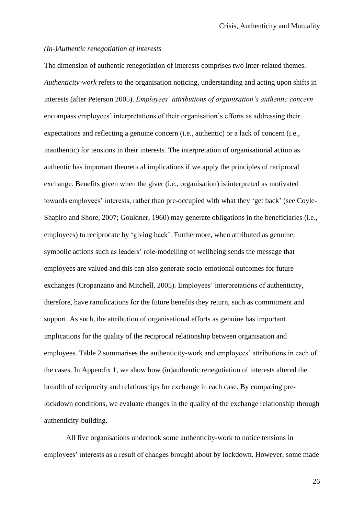### *(In-)Authentic renegotiation of interests*

The dimension of authentic renegotiation of interests comprises two inter-related themes. *Authenticity-work* refers to the organisation noticing, understanding and acting upon shifts in interests (after Peterson 2005). *Employees' attributions of organisation's authentic concern* encompass employees' interpretations of their organisation's efforts as addressing their expectations and reflecting a genuine concern (i.e., authentic) or a lack of concern (i.e., inauthentic) for tensions in their interests. The interpretation of organisational action as authentic has important theoretical implications if we apply the principles of reciprocal exchange. Benefits given when the giver (i.e., organisation) is interpreted as motivated towards employees' interests, rather than pre-occupied with what they 'get back' (see Coyle-Shapiro and Shore, 2007; Gouldner, 1960) may generate obligations in the beneficiaries (i.e., employees) to reciprocate by 'giving back'. Furthermore, when attributed as genuine, symbolic actions such as leaders' role-modelling of wellbeing sends the message that employees are valued and this can also generate socio-emotional outcomes for future exchanges (Cropanzano and Mitchell, 2005). Employees' interpretations of authenticity, therefore, have ramifications for the future benefits they return, such as commitment and support. As such, the attribution of organisational efforts as genuine has important implications for the quality of the reciprocal relationship between organisation and employees. Table 2 summarises the authenticity-work and employees' attributions in each of the cases. In Appendix 1, we show how (in)authentic renegotiation of interests altered the breadth of reciprocity and relationships for exchange in each case. By comparing prelockdown conditions, we evaluate changes in the quality of the exchange relationship through authenticity-building.

All five organisations undertook some authenticity-work to notice tensions in employees' interests as a result of changes brought about by lockdown. However, some made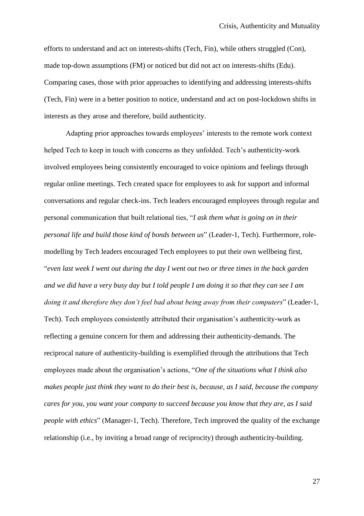efforts to understand and act on interests-shifts (Tech, Fin), while others struggled (Con), made top-down assumptions (FM) or noticed but did not act on interests-shifts (Edu). Comparing cases, those with prior approaches to identifying and addressing interests-shifts (Tech, Fin) were in a better position to notice, understand and act on post-lockdown shifts in interests as they arose and therefore, build authenticity.

Adapting prior approaches towards employees' interests to the remote work context helped Tech to keep in touch with concerns as they unfolded. Tech's authenticity-work involved employees being consistently encouraged to voice opinions and feelings through regular online meetings. Tech created space for employees to ask for support and informal conversations and regular check-ins. Tech leaders encouraged employees through regular and personal communication that built relational ties, "*I ask them what is going on in their personal life and build those kind of bonds between us*" (Leader-1, Tech). Furthermore, rolemodelling by Tech leaders encouraged Tech employees to put their own wellbeing first, "*even last week I went out during the day I went out two or three times in the back garden and we did have a very busy day but I told people I am doing it so that they can see I am doing it and therefore they don't feel bad about being away from their computers*" (Leader-1, Tech). Tech employees consistently attributed their organisation's authenticity-work as reflecting a genuine concern for them and addressing their authenticity-demands. The reciprocal nature of authenticity-building is exemplified through the attributions that Tech employees made about the organisation's actions, "*One of the situations what I think also makes people just think they want to do their best is, because, as I said, because the company cares for you, you want your company to succeed because you know that they are, as I said people with ethics*" (Manager-1, Tech). Therefore, Tech improved the quality of the exchange relationship (i.e., by inviting a broad range of reciprocity) through authenticity-building.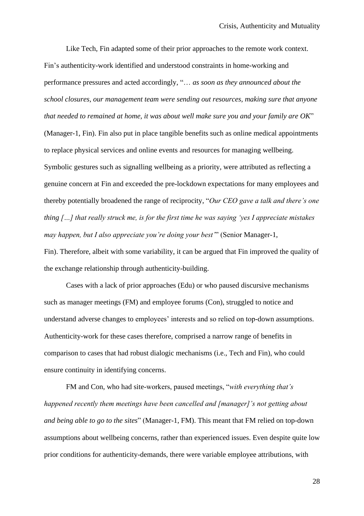Like Tech, Fin adapted some of their prior approaches to the remote work context. Fin's authenticity-work identified and understood constraints in home-working and performance pressures and acted accordingly, "… *as soon as they announced about the school closures, our management team were sending out resources, making sure that anyone that needed to remained at home, it was about well make sure you and your family are OK*" (Manager-1, Fin). Fin also put in place tangible benefits such as online medical appointments to replace physical services and online events and resources for managing wellbeing. Symbolic gestures such as signalling wellbeing as a priority, were attributed as reflecting a genuine concern at Fin and exceeded the pre-lockdown expectations for many employees and thereby potentially broadened the range of reciprocity, "*Our CEO gave a talk and there's one thing […] that really struck me, is for the first time he was saying 'yes I appreciate mistakes may happen, but I also appreciate you're doing your best'*" (Senior Manager-1,

Fin). Therefore, albeit with some variability, it can be argued that Fin improved the quality of the exchange relationship through authenticity-building.

Cases with a lack of prior approaches (Edu) or who paused discursive mechanisms such as manager meetings (FM) and employee forums (Con), struggled to notice and understand adverse changes to employees' interests and so relied on top-down assumptions. Authenticity-work for these cases therefore, comprised a narrow range of benefits in comparison to cases that had robust dialogic mechanisms (i.e., Tech and Fin), who could ensure continuity in identifying concerns.

FM and Con, who had site-workers, paused meetings, "*with everything that's happened recently them meetings have been cancelled and [manager]'s not getting about and being able to go to the sites*" (Manager-1, FM). This meant that FM relied on top-down assumptions about wellbeing concerns, rather than experienced issues. Even despite quite low prior conditions for authenticity-demands, there were variable employee attributions, with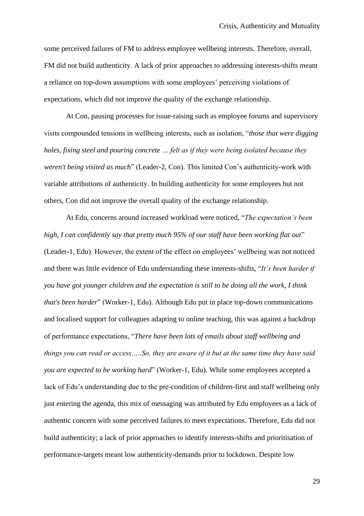some perceived failures of FM to address employee wellbeing interests. Therefore, overall, FM did not build authenticity. A lack of prior approaches to addressing interests-shifts meant a reliance on top-down assumptions with some employees' perceiving violations of expectations, which did not improve the quality of the exchange relationship.

At Con, pausing processes for issue-raising such as employee forums and supervisory visits compounded tensions in wellbeing interests, such as isolation, "*those that were digging holes, fixing steel and pouring concrete … felt as if they were being isolated because they weren't being visited as much*" (Leader-2, Con). This limited Con's authenticity-work with variable attributions of authenticity. In building authenticity for some employees but not others, Con did not improve the overall quality of the exchange relationship.

At Edu, concerns around increased workload were noticed, "*The expectation's been high, I can confidently say that pretty much 95% of our staff have been working flat out*" (Leader-1, Edu). However, the extent of the effect on employees' wellbeing was not noticed and there was little evidence of Edu understanding these interests-shifts, "*It's been harder if you have got younger children and the expectation is still to be doing all the work, I think that's been harder*" (Worker-1, Edu). Although Edu put in place top-down communications and localised support for colleagues adapting to online teaching, this was against a backdrop of performance expectations, "*There have been lots of emails about staff wellbeing and things you can read or access…..So, they are aware of it but at the same time they have said you are expected to be working hard*" (Worker-1, Edu). While some employees accepted a lack of Edu's understanding due to the pre-condition of children-first and staff wellbeing only just entering the agenda, this mix of messaging was attributed by Edu employees as a lack of authentic concern with some perceived failures to meet expectations. Therefore, Edu did not build authenticity; a lack of prior approaches to identify interests-shifts and prioritisation of performance-targets meant low authenticity-demands prior to lockdown. Despite low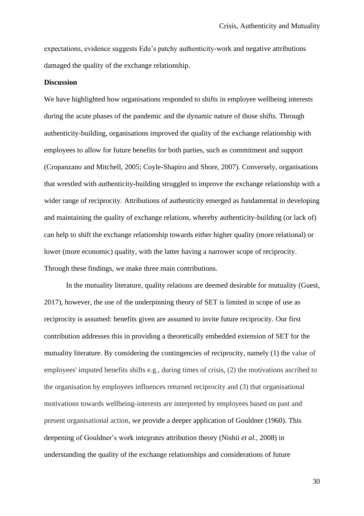expectations, evidence suggests Edu's patchy authenticity-work and negative attributions damaged the quality of the exchange relationship.

#### **Discussion**

We have highlighted how organisations responded to shifts in employee wellbeing interests during the acute phases of the pandemic and the dynamic nature of those shifts. Through authenticity-building, organisations improved the quality of the exchange relationship with employees to allow for future benefits for both parties, such as commitment and support (Cropanzano and Mitchell, 2005; Coyle-Shapiro and Shore, 2007). Conversely, organisations that wrestled with authenticity-building struggled to improve the exchange relationship with a wider range of reciprocity. Attributions of authenticity emerged as fundamental in developing and maintaining the quality of exchange relations, whereby authenticity-building (or lack of) can help to shift the exchange relationship towards either higher quality (more relational) or lower (more economic) quality, with the latter having a narrower scope of reciprocity. Through these findings, we make three main contributions.

In the mutuality literature, quality relations are deemed desirable for mutuality (Guest, 2017), however, the use of the underpinning theory of SET is limited in scope of use as reciprocity is assumed: benefits given are assumed to invite future reciprocity. Our first contribution addresses this in providing a theoretically embedded extension of SET for the mutuality literature. By considering the contingencies of reciprocity, namely (1) the value of employees' imputed benefits shifts e.g., during times of crisis, (2) the motivations ascribed to the organisation by employees influences returned reciprocity and (3) that organisational motivations towards wellbeing-interests are interpreted by employees based on past and present organisational action, we provide a deeper application of Gouldner (1960). This deepening of Gouldner's work integrates attribution theory (Nishii *et al.*, 2008) in understanding the quality of the exchange relationships and considerations of future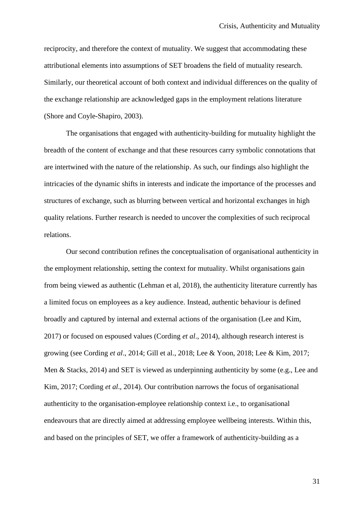reciprocity, and therefore the context of mutuality. We suggest that accommodating these attributional elements into assumptions of SET broadens the field of mutuality research. Similarly, our theoretical account of both context and individual differences on the quality of the exchange relationship are acknowledged gaps in the employment relations literature (Shore and Coyle-Shapiro, 2003).

The organisations that engaged with authenticity-building for mutuality highlight the breadth of the content of exchange and that these resources carry symbolic connotations that are intertwined with the nature of the relationship. As such, our findings also highlight the intricacies of the dynamic shifts in interests and indicate the importance of the processes and structures of exchange, such as blurring between vertical and horizontal exchanges in high quality relations. Further research is needed to uncover the complexities of such reciprocal relations.

Our second contribution refines the conceptualisation of organisational authenticity in the employment relationship, setting the context for mutuality. Whilst organisations gain from being viewed as authentic (Lehman et al, 2018), the authenticity literature currently has a limited focus on employees as a key audience. Instead, authentic behaviour is defined broadly and captured by internal and external actions of the organisation (Lee and Kim, 2017) or focused on espoused values (Cording *et al*., 2014), although research interest is growing (see Cording *et al*., 2014; Gill et al., 2018; Lee & Yoon, 2018; Lee & Kim, 2017; Men & Stacks, 2014) and SET is viewed as underpinning authenticity by some (e.g., Lee and Kim, 2017; Cording *et al*., 2014). Our contribution narrows the focus of organisational authenticity to the organisation-employee relationship context i.e., to organisational endeavours that are directly aimed at addressing employee wellbeing interests. Within this, and based on the principles of SET, we offer a framework of authenticity-building as a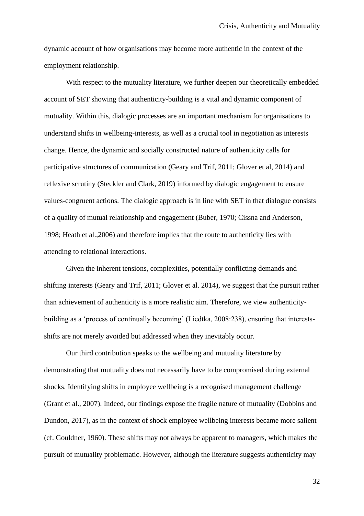dynamic account of how organisations may become more authentic in the context of the employment relationship.

With respect to the mutuality literature, we further deepen our theoretically embedded account of SET showing that authenticity-building is a vital and dynamic component of mutuality. Within this, dialogic processes are an important mechanism for organisations to understand shifts in wellbeing-interests, as well as a crucial tool in negotiation as interests change. Hence, the dynamic and socially constructed nature of authenticity calls for participative structures of communication (Geary and Trif, 2011; Glover et al, 2014) and reflexive scrutiny (Steckler and Clark, 2019) informed by dialogic engagement to ensure values-congruent actions. The dialogic approach is in line with SET in that dialogue consists of a quality of mutual relationship and engagement (Buber, 1970; Cissna and Anderson, 1998; Heath et al.,2006) and therefore implies that the route to authenticity lies with attending to relational interactions.

Given the inherent tensions, complexities, potentially conflicting demands and shifting interests (Geary and Trif, 2011; Glover et al. 2014), we suggest that the pursuit rather than achievement of authenticity is a more realistic aim. Therefore, we view authenticitybuilding as a 'process of continually becoming' (Liedtka, 2008:238), ensuring that interestsshifts are not merely avoided but addressed when they inevitably occur.

Our third contribution speaks to the wellbeing and mutuality literature by demonstrating that mutuality does not necessarily have to be compromised during external shocks. Identifying shifts in employee wellbeing is a recognised management challenge (Grant et al., 2007). Indeed, our findings expose the fragile nature of mutuality (Dobbins and Dundon, 2017), as in the context of shock employee wellbeing interests became more salient (cf. Gouldner, 1960). These shifts may not always be apparent to managers, which makes the pursuit of mutuality problematic. However, although the literature suggests authenticity may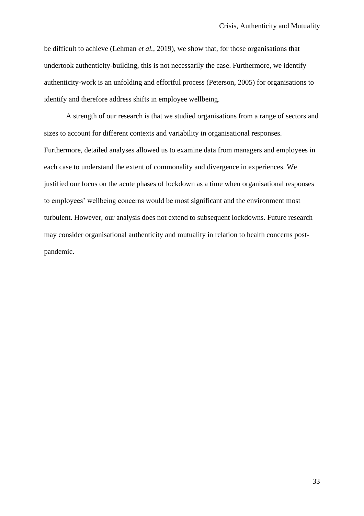be difficult to achieve (Lehman *et al.*, 2019), we show that, for those organisations that undertook authenticity-building, this is not necessarily the case. Furthermore, we identify authenticity-work is an unfolding and effortful process (Peterson, 2005) for organisations to identify and therefore address shifts in employee wellbeing.

A strength of our research is that we studied organisations from a range of sectors and sizes to account for different contexts and variability in organisational responses. Furthermore, detailed analyses allowed us to examine data from managers and employees in each case to understand the extent of commonality and divergence in experiences. We justified our focus on the acute phases of lockdown as a time when organisational responses to employees' wellbeing concerns would be most significant and the environment most turbulent. However, our analysis does not extend to subsequent lockdowns. Future research may consider organisational authenticity and mutuality in relation to health concerns postpandemic.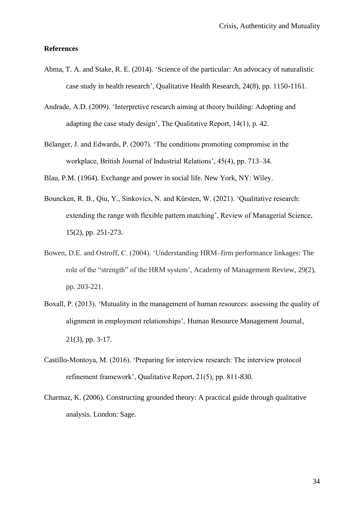#### **References**

- Abma, T. A. and Stake, R. E. (2014). 'Science of the particular: An advocacy of naturalistic case study in health research', Qualitative Health Research, 24(8), pp. 1150-1161.
- Andrade, A.D. (2009). 'Interpretive research aiming at theory building: Adopting and adapting the case study design', The Qualitative Report, 14(1), p. 42.
- Bélanger, J. and Edwards, P. (2007). 'The conditions promoting compromise in the workplace, British Journal of Industrial Relations', 45(4), pp. 713–34.

Blau, P.M. (1964). Exchange and power in social life. New York, NY: Wiley.

- Bouncken, R. B., Qiu, Y., Sinkovics, N. and Kürsten, W. (2021). 'Qualitative research: extending the range with flexible pattern matching', Review of Managerial Science, 15(2), pp. 251-273.
- Bowen, D.E. and Ostroff, C. (2004). 'Understanding HRM–firm performance linkages: The role of the "strength" of the HRM system', Academy of Management Review, 29(2), pp. 203-221.
- Boxall, P. (2013). 'Mutuality in the management of human resources: assessing the quality of alignment in employment relationships', Human Resource Management Journal, 21(3), pp. 3-17.
- Castillo-Montoya, M. (2016). 'Preparing for interview research: The interview protocol refinement framework', Qualitative Report, 21(5), pp. 811-830.
- Charmaz, K. (2006). Constructing grounded theory: A practical guide through qualitative analysis. London: Sage.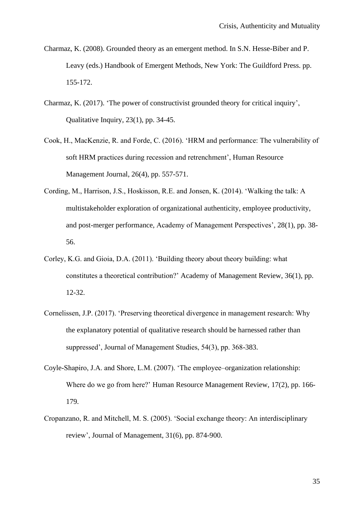- Charmaz, K. (2008). Grounded theory as an emergent method. In S.N. Hesse-Biber and P. Leavy (eds.) Handbook of Emergent Methods, New York: The Guildford Press. pp. 155-172.
- Charmaz, K. (2017). 'The power of constructivist grounded theory for critical inquiry', Qualitative Inquiry, 23(1), pp. 34-45.
- Cook, H., MacKenzie, R. and Forde, C. (2016). 'HRM and performance: The vulnerability of soft HRM practices during recession and retrenchment', Human Resource Management Journal, 26(4), pp. 557-571.
- Cording, M., Harrison, J.S., Hoskisson, R.E. and Jonsen, K. (2014). 'Walking the talk: A multistakeholder exploration of organizational authenticity, employee productivity, and post-merger performance, Academy of Management Perspectives', 28(1), pp. 38- 56.
- Corley, K.G. and Gioia, D.A. (2011). 'Building theory about theory building: what constitutes a theoretical contribution?' Academy of Management Review, 36(1), pp. 12-32.
- Cornelissen, J.P. (2017). 'Preserving theoretical divergence in management research: Why the explanatory potential of qualitative research should be harnessed rather than suppressed', Journal of Management Studies, 54(3), pp. 368-383.
- Coyle-Shapiro, J.A. and Shore, L.M. (2007). 'The employee–organization relationship: Where do we go from here?' Human Resource Management Review, 17(2), pp. 166- 179.
- Cropanzano, R. and Mitchell, M. S. (2005). 'Social exchange theory: An interdisciplinary review', Journal of Management, 31(6), pp. 874-900.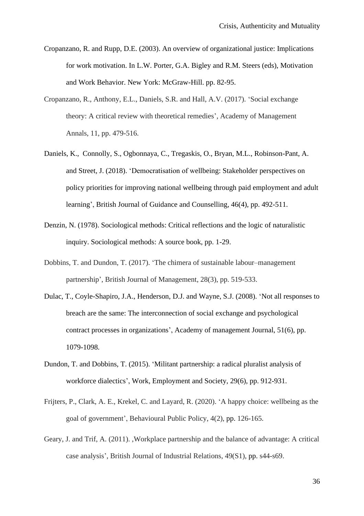- Cropanzano, R. and Rupp, D.E. (2003). An overview of organizational justice: Implications for work motivation. In L.W. Porter, G.A. Bigley and R.M. Steers (eds), Motivation and Work Behavior. New York: McGraw-Hill. pp. 82-95.
- Cropanzano, R., Anthony, E.L., Daniels, S.R. and Hall, A.V. (2017). 'Social exchange theory: A critical review with theoretical remedies', Academy of Management Annals, 11, pp. 479-516.
- Daniels, K., Connolly, S., Ogbonnaya, C., Tregaskis, O., Bryan, M.L., Robinson-Pant, A. and Street, J. (2018). 'Democratisation of wellbeing: Stakeholder perspectives on policy priorities for improving national wellbeing through paid employment and adult learning', British Journal of Guidance and Counselling, 46(4), pp. 492-511.
- Denzin, N. (1978). Sociological methods: Critical reflections and the logic of naturalistic inquiry. Sociological methods: A source book, pp. 1-29.
- Dobbins, T. and Dundon, T. (2017). 'The chimera of sustainable labour–management partnership', British Journal of Management, 28(3), pp. 519-533.
- Dulac, T., Coyle-Shapiro, J.A., Henderson, D.J. and Wayne, S.J. (2008). 'Not all responses to breach are the same: The interconnection of social exchange and psychological contract processes in organizations', Academy of management Journal, 51(6), pp. 1079-1098.
- Dundon, T. and Dobbins, T. (2015). 'Militant partnership: a radical pluralist analysis of workforce dialectics', Work, Employment and Society, 29(6), pp. 912-931.
- Frijters, P., Clark, A. E., Krekel, C. and Layard, R. (2020). 'A happy choice: wellbeing as the goal of government', Behavioural Public Policy, 4(2), pp. 126-165.
- Geary, J. and Trif, A. (2011). ,Workplace partnership and the balance of advantage: A critical case analysis', British Journal of Industrial Relations, 49(S1), pp. s44-s69.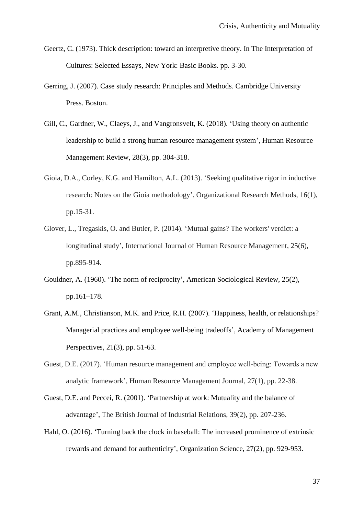- Geertz, C. (1973). Thick description: toward an interpretive theory. In The Interpretation of Cultures: Selected Essays, New York: Basic Books. pp. 3-30.
- Gerring, J. (2007). Case study research: Principles and Methods. Cambridge University Press. Boston.
- Gill, C., Gardner, W., Claeys, J., and Vangronsvelt, K. (2018). 'Using theory on authentic leadership to build a strong human resource management system', Human Resource Management Review, 28(3), pp. 304-318.
- Gioia, D.A., Corley, K.G. and Hamilton, A.L. (2013). 'Seeking qualitative rigor in inductive research: Notes on the Gioia methodology', Organizational Research Methods, 16(1), pp.15-31.
- Glover, L., Tregaskis, O. and Butler, P. (2014). 'Mutual gains? The workers' verdict: a longitudinal study', International Journal of Human Resource Management, 25(6), pp.895-914.
- Gouldner, A. (1960). 'The norm of reciprocity', American Sociological Review, 25(2), pp.161–178.
- Grant, A.M., Christianson, M.K. and Price, R.H. (2007). 'Happiness, health, or relationships? Managerial practices and employee well-being tradeoffs', Academy of Management Perspectives, 21(3), pp. 51-63.
- Guest, D.E. (2017). 'Human resource management and employee well-being: Towards a new analytic framework', Human Resource Management Journal, 27(1), pp. 22-38.
- Guest, D.E. and Peccei, R. (2001). 'Partnership at work: Mutuality and the balance of advantage', The British Journal of Industrial Relations, 39(2), pp. 207-236.
- Hahl, O. (2016). 'Turning back the clock in baseball: The increased prominence of extrinsic rewards and demand for authenticity', Organization Science, 27(2), pp. 929-953.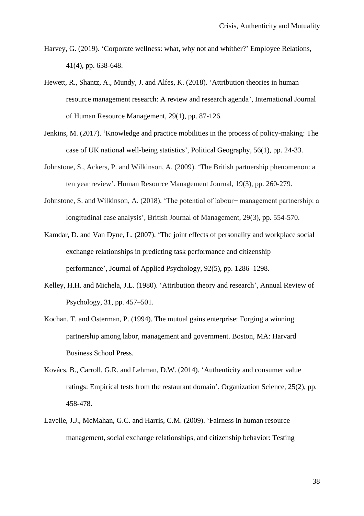- Harvey, G. (2019). 'Corporate wellness: what, why not and whither?' Employee Relations, 41(4), pp. 638-648.
- Hewett, R., Shantz, A., Mundy, J. and Alfes, K. (2018). 'Attribution theories in human resource management research: A review and research agenda', International Journal of Human Resource Management, 29(1), pp. 87-126.
- Jenkins, M. (2017). 'Knowledge and practice mobilities in the process of policy-making: The case of UK national well-being statistics', Political Geography, 56(1), pp. 24-33.
- Johnstone, S., Ackers, P. and Wilkinson, A. (2009). 'The British partnership phenomenon: a ten year review', Human Resource Management Journal, 19(3), pp. 260-279.
- Johnstone, S. and Wilkinson, A. (2018). 'The potential of labour− management partnership: a longitudinal case analysis', British Journal of Management, 29(3), pp. 554-570.
- Kamdar, D. and Van Dyne, L. (2007). 'The joint effects of personality and workplace social exchange relationships in predicting task performance and citizenship performance', Journal of Applied Psychology, 92(5), pp. 1286–1298.
- Kelley, H.H. and Michela, J.L. (1980). 'Attribution theory and research', Annual Review of Psychology, 31, pp. 457–501.
- Kochan, T. and Osterman, P. (1994). The mutual gains enterprise: Forging a winning partnership among labor, management and government. Boston, MA: Harvard Business School Press.
- Kovács, B., Carroll, G.R. and Lehman, D.W. (2014). 'Authenticity and consumer value ratings: Empirical tests from the restaurant domain', Organization Science, 25(2), pp. 458-478.
- Lavelle, J.J., McMahan, G.C. and Harris, C.M. (2009). 'Fairness in human resource management, social exchange relationships, and citizenship behavior: Testing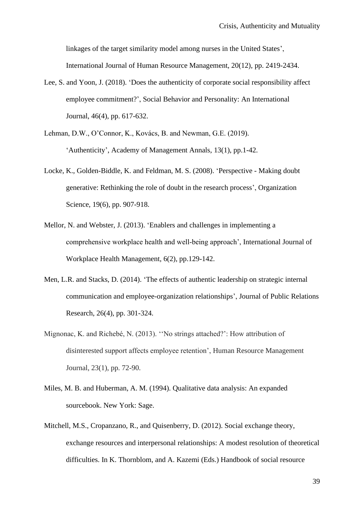linkages of the target similarity model among nurses in the United States', International Journal of Human Resource Management, 20(12), pp. 2419-2434.

- Lee, S. and Yoon, J. (2018). 'Does the authenticity of corporate social responsibility affect employee commitment?', Social Behavior and Personality: An International Journal, 46(4), pp. 617-632.
- Lehman, D.W., O'Connor, K., Kovács, B. and Newman, G.E. (2019). 'Authenticity', Academy of Management Annals, 13(1), pp.1-42.
- Locke, K., Golden-Biddle, K. and Feldman, M. S. (2008). 'Perspective Making doubt generative: Rethinking the role of doubt in the research process', Organization Science, 19(6), pp. 907-918.
- Mellor, N. and Webster, J. (2013). 'Enablers and challenges in implementing a comprehensive workplace health and well‐being approach', International Journal of Workplace Health Management, 6(2), pp.129-142.
- Men, L.R. and Stacks, D. (2014). 'The effects of authentic leadership on strategic internal communication and employee-organization relationships', Journal of Public Relations Research, 26(4), pp. 301-324.
- Mignonac, K. and Richebé, N. (2013). ''No strings attached?': How attribution of disinterested support affects employee retention', Human Resource Management Journal, 23(1), pp. 72-90.
- Miles, M. B. and Huberman, A. M. (1994). Qualitative data analysis: An expanded sourcebook. New York: Sage.
- Mitchell, M.S., Cropanzano, R., and Quisenberry, D. (2012). Social exchange theory, exchange resources and interpersonal relationships: A modest resolution of theoretical difficulties. In K. Thornblom, and A. Kazemi (Eds.) Handbook of social resource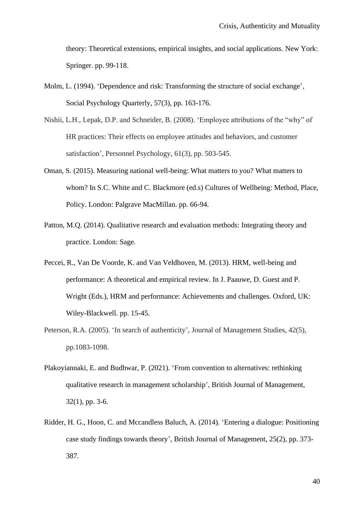theory: Theoretical extensions, empirical insights, and social applications. New York: Springer. pp. 99-118.

- Molm, L. (1994). 'Dependence and risk: Transforming the structure of social exchange', Social Psychology Quarterly, 57(3), pp. 163-176.
- Nishii, L.H., Lepak, D.P. and Schneider, B. (2008). 'Employee attributions of the "why" of HR practices: Their effects on employee attitudes and behaviors, and customer satisfaction', Personnel Psychology, 61(3), pp. 503-545.
- Oman, S. (2015). Measuring national well-being: What matters to you? What matters to whom? In S.C. White and C. Blackmore (ed.s) Cultures of Wellbeing: Method, Place, Policy. London: Palgrave MacMillan. pp. 66-94.
- Patton, M.Q. (2014). Qualitative research and evaluation methods: Integrating theory and practice. London: Sage.
- Peccei, R., Van De Voorde, K. and Van Veldhoven, M. (2013). HRM, well-being and performance: A theoretical and empirical review. In J. Paauwe, D. Guest and P. Wright (Eds.), HRM and performance: Achievements and challenges. Oxford, UK: Wiley-Blackwell. pp. 15-45.
- Peterson, R.A. (2005). 'In search of authenticity', Journal of Management Studies, 42(5), pp.1083-1098.
- Plakoyiannaki, E. and Budhwar, P. (2021). 'From convention to alternatives: rethinking qualitative research in management scholarship', British Journal of Management, 32(1), pp. 3-6.
- Ridder, H. G., Hoon, C. and Mccandless Baluch, A. (2014). 'Entering a dialogue: Positioning case study findings towards theory', British Journal of Management, 25(2), pp. 373- 387.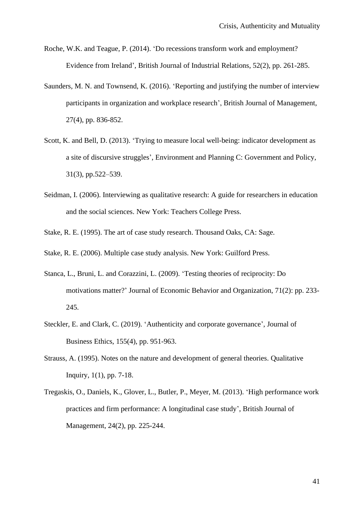- Roche, W.K. and Teague, P. (2014). 'Do recessions transform work and employment? Evidence from Ireland', British Journal of Industrial Relations, 52(2), pp. 261-285.
- Saunders, M. N. and Townsend, K. (2016). 'Reporting and justifying the number of interview participants in organization and workplace research', British Journal of Management, 27(4), pp. 836-852.
- Scott, K. and Bell, D. (2013). 'Trying to measure local well-being: indicator development as a site of discursive struggles', Environment and Planning C: Government and Policy, 31(3), pp.522–539.
- Seidman, I. (2006). Interviewing as qualitative research: A guide for researchers in education and the social sciences. New York: Teachers College Press.
- Stake, R. E. (1995). The art of case study research. Thousand Oaks, CA: Sage.
- Stake, R. E. (2006). Multiple case study analysis. New York: Guilford Press.
- Stanca, L., Bruni, L. and Corazzini, L. (2009). 'Testing theories of reciprocity: Do motivations matter?' Journal of Economic Behavior and Organization, 71(2): pp. 233- 245.
- Steckler, E. and Clark, C. (2019). 'Authenticity and corporate governance', Journal of Business Ethics, 155(4), pp. 951-963.
- Strauss, A. (1995). Notes on the nature and development of general theories. Qualitative Inquiry, 1(1), pp. 7-18.
- Tregaskis, O., Daniels, K., Glover, L., Butler, P., Meyer, M. (2013). 'High performance work practices and firm performance: A longitudinal case study', British Journal of Management, 24(2), pp. 225-244.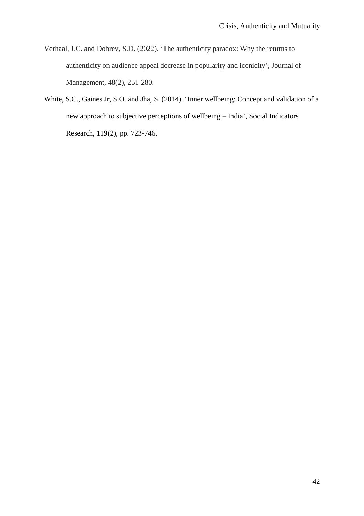- Verhaal, J.C. and Dobrev, S.D. (2022). 'The authenticity paradox: Why the returns to authenticity on audience appeal decrease in popularity and iconicity', Journal of Management, 48(2), 251-280.
- White, S.C., Gaines Jr, S.O. and Jha, S. (2014). 'Inner wellbeing: Concept and validation of a new approach to subjective perceptions of wellbeing – India', Social Indicators Research, 119(2), pp. 723-746.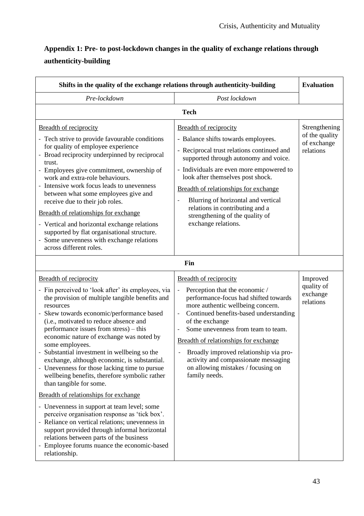# **Appendix 1: Pre- to post-lockdown changes in the quality of exchange relations through authenticity-building**

| Shifts in the quality of the exchange relations through authenticity-building                                                                                                                                                                                                                                                                                                                                                                                                                                                                                                                                                                                                                                                                                                                                                                                                                                                  |                                                                                                                                                                                                                                                                                                                                                                                                                                    |                                                             |  |  |
|--------------------------------------------------------------------------------------------------------------------------------------------------------------------------------------------------------------------------------------------------------------------------------------------------------------------------------------------------------------------------------------------------------------------------------------------------------------------------------------------------------------------------------------------------------------------------------------------------------------------------------------------------------------------------------------------------------------------------------------------------------------------------------------------------------------------------------------------------------------------------------------------------------------------------------|------------------------------------------------------------------------------------------------------------------------------------------------------------------------------------------------------------------------------------------------------------------------------------------------------------------------------------------------------------------------------------------------------------------------------------|-------------------------------------------------------------|--|--|
| Pre-lockdown                                                                                                                                                                                                                                                                                                                                                                                                                                                                                                                                                                                                                                                                                                                                                                                                                                                                                                                   | Post lockdown                                                                                                                                                                                                                                                                                                                                                                                                                      |                                                             |  |  |
| <b>Tech</b>                                                                                                                                                                                                                                                                                                                                                                                                                                                                                                                                                                                                                                                                                                                                                                                                                                                                                                                    |                                                                                                                                                                                                                                                                                                                                                                                                                                    |                                                             |  |  |
| <b>Breadth of reciprocity</b><br>- Tech strive to provide favourable conditions<br>for quality of employee experience<br>- Broad reciprocity underpinned by reciprocal<br>trust.<br>- Employees give commitment, ownership of<br>work and extra-role behaviours.<br>- Intensive work focus leads to unevenness<br>between what some employees give and<br>receive due to their job roles.<br>Breadth of relationships for exchange<br>- Vertical and horizontal exchange relations<br>supported by flat organisational structure.<br>- Some unevenness with exchange relations<br>across different roles.                                                                                                                                                                                                                                                                                                                      | <b>Breadth of reciprocity</b><br>- Balance shifts towards employees.<br>- Reciprocal trust relations continued and<br>supported through autonomy and voice.<br>- Individuals are even more empowered to<br>look after themselves post shock.<br>Breadth of relationships for exchange<br>Blurring of horizontal and vertical<br>relations in contributing and a<br>strengthening of the quality of<br>exchange relations.          | Strengthening<br>of the quality<br>of exchange<br>relations |  |  |
|                                                                                                                                                                                                                                                                                                                                                                                                                                                                                                                                                                                                                                                                                                                                                                                                                                                                                                                                | Fin                                                                                                                                                                                                                                                                                                                                                                                                                                |                                                             |  |  |
| Breadth of reciprocity<br>- Fin perceived to 'look after' its employees, via<br>the provision of multiple tangible benefits and<br>resources<br>- Skew towards economic/performance based<br>(i.e., motivated to reduce absence and<br>performance issues from stress) - this<br>economic nature of exchange was noted by<br>some employees.<br>Substantial investment in wellbeing so the<br>exchange, although economic, is substantial.<br>- Unevenness for those lacking time to pursue<br>wellbeing benefits, therefore symbolic rather<br>than tangible for some.<br>Breadth of relationships for exchange<br>- Unevenness in support at team level; some<br>perceive organisation response as 'tick box'.<br>- Reliance on vertical relations; unevenness in<br>support provided through informal horizontal<br>relations between parts of the business<br>- Employee forums nuance the economic-based<br>relationship. | <b>Breadth of reciprocity</b><br>Perception that the economic /<br>performance-focus had shifted towards<br>more authentic wellbeing concern.<br>Continued benefits-based understanding<br>of the exchange<br>Some unevenness from team to team.<br>Breadth of relationships for exchange<br>Broadly improved relationship via pro-<br>activity and compassionate messaging<br>on allowing mistakes / focusing on<br>family needs. | Improved<br>quality of<br>exchange<br>relations             |  |  |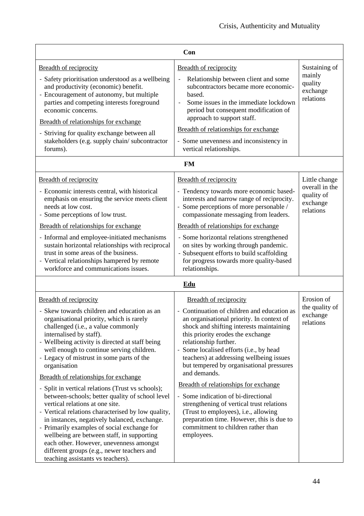|                                                                                                                                                                                                                                                                                                                                                                                                                                                                                                                                                                                                                                                                                                                                                                                                                                                                             | Con                                                                                                                                                                                                                                                                                                                                                                                                                                                                                                                                                                                                                                                                                    |                                                                        |  |  |  |
|-----------------------------------------------------------------------------------------------------------------------------------------------------------------------------------------------------------------------------------------------------------------------------------------------------------------------------------------------------------------------------------------------------------------------------------------------------------------------------------------------------------------------------------------------------------------------------------------------------------------------------------------------------------------------------------------------------------------------------------------------------------------------------------------------------------------------------------------------------------------------------|----------------------------------------------------------------------------------------------------------------------------------------------------------------------------------------------------------------------------------------------------------------------------------------------------------------------------------------------------------------------------------------------------------------------------------------------------------------------------------------------------------------------------------------------------------------------------------------------------------------------------------------------------------------------------------------|------------------------------------------------------------------------|--|--|--|
| <b>Breadth of reciprocity</b><br>- Safety prioritisation understood as a wellbeing<br>and productivity (economic) benefit.<br>- Encouragement of autonomy, but multiple<br>parties and competing interests foreground<br>economic concerns.<br>Breadth of relationships for exchange<br>- Striving for quality exchange between all<br>stakeholders (e.g. supply chain/subcontractor<br>forums).                                                                                                                                                                                                                                                                                                                                                                                                                                                                            | <b>Breadth of reciprocity</b><br>Relationship between client and some<br>subcontractors became more economic-<br>based.<br>Some issues in the immediate lockdown<br>period but consequent modification of<br>approach to support staff.<br>Breadth of relationships for exchange<br>- Some unevenness and inconsistency in<br>vertical relationships.                                                                                                                                                                                                                                                                                                                                  | Sustaining of<br>mainly<br>quality<br>exchange<br>relations            |  |  |  |
| <b>Breadth of reciprocity</b><br>- Economic interests central, with historical<br>emphasis on ensuring the service meets client<br>needs at low cost.<br>- Some perceptions of low trust.<br>Breadth of relationships for exchange<br>- Informal and employee-initiated mechanisms<br>sustain horizontal relationships with reciprocal<br>trust in some areas of the business.<br>- Vertical relationships hampered by remote<br>workforce and communications issues.                                                                                                                                                                                                                                                                                                                                                                                                       | <b>FM</b><br><b>Breadth of reciprocity</b><br>- Tendency towards more economic based-<br>interests and narrow range of reciprocity.<br>- Some perceptions of more personable /<br>compassionate messaging from leaders.<br>Breadth of relationships for exchange<br>- Some horizontal relations strengthened<br>on sites by working through pandemic.<br>- Subsequent efforts to build scaffolding<br>for progress towards more quality-based<br>relationships.                                                                                                                                                                                                                        | Little change<br>overall in the<br>quality of<br>exchange<br>relations |  |  |  |
| <b>Edu</b>                                                                                                                                                                                                                                                                                                                                                                                                                                                                                                                                                                                                                                                                                                                                                                                                                                                                  |                                                                                                                                                                                                                                                                                                                                                                                                                                                                                                                                                                                                                                                                                        |                                                                        |  |  |  |
| <b>Breadth of reciprocity</b><br>- Skew towards children and education as an<br>organisational priority, which is rarely<br>challenged (i.e., a value commonly<br>internalised by staff).<br>- Wellbeing activity is directed at staff being<br>well enough to continue serving children.<br>- Legacy of mistrust in some parts of the<br>organisation<br>Breadth of relationships for exchange<br>- Split in vertical relations (Trust vs schools);<br>between-schools; better quality of school level<br>vertical relations at one site.<br>- Vertical relations characterised by low quality,<br>in instances, negatively balanced, exchange.<br>- Primarily examples of social exchange for<br>wellbeing are between staff, in supporting<br>each other. However, unevenness amongst<br>different groups (e.g., newer teachers and<br>teaching assistants vs teachers). | <b>Breadth of reciprocity</b><br>- Continuation of children and education as<br>an organisational priority. In context of<br>shock and shifting interests maintaining<br>this priority erodes the exchange<br>relationship further.<br>Some localised efforts (i.e., by head<br>$\overline{\phantom{a}}$<br>teachers) at addressing wellbeing issues<br>but tempered by organisational pressures<br>and demands.<br>Breadth of relationships for exchange<br>- Some indication of bi-directional<br>strengthening of vertical trust relations<br>(Trust to employees), i.e., allowing<br>preparation time. However, this is due to<br>commitment to children rather than<br>employees. | Erosion of<br>the quality of<br>exchange<br>relations                  |  |  |  |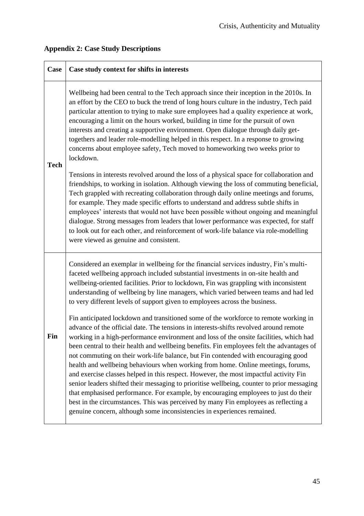| <b>Case</b> | Case study context for shifts in interests                                                                                                                                                                                                                                                                                                                                                                                                                                                                                                                                                                                                                                                                                                                                                                                                                                                                                                                                                    |
|-------------|-----------------------------------------------------------------------------------------------------------------------------------------------------------------------------------------------------------------------------------------------------------------------------------------------------------------------------------------------------------------------------------------------------------------------------------------------------------------------------------------------------------------------------------------------------------------------------------------------------------------------------------------------------------------------------------------------------------------------------------------------------------------------------------------------------------------------------------------------------------------------------------------------------------------------------------------------------------------------------------------------|
| <b>Tech</b> | Wellbeing had been central to the Tech approach since their inception in the 2010s. In<br>an effort by the CEO to buck the trend of long hours culture in the industry, Tech paid<br>particular attention to trying to make sure employees had a quality experience at work,<br>encouraging a limit on the hours worked, building in time for the pursuit of own<br>interests and creating a supportive environment. Open dialogue through daily get-<br>togethers and leader role-modelling helped in this respect. In a response to growing<br>concerns about employee safety, Tech moved to homeworking two weeks prior to<br>lockdown.<br>Tensions in interests revolved around the loss of a physical space for collaboration and                                                                                                                                                                                                                                                        |
|             | friendships, to working in isolation. Although viewing the loss of commuting beneficial,<br>Tech grappled with recreating collaboration through daily online meetings and forums,<br>for example. They made specific efforts to understand and address subtle shifts in<br>employees' interests that would not have been possible without ongoing and meaningful<br>dialogue. Strong messages from leaders that lower performance was expected, for staff<br>to look out for each other, and reinforcement of work-life balance via role-modelling<br>were viewed as genuine and consistent.                                                                                                                                                                                                                                                                                                                                                                                                  |
| Fin         | Considered an exemplar in wellbeing for the financial services industry, Fin's multi-<br>faceted wellbeing approach included substantial investments in on-site health and<br>wellbeing-oriented facilities. Prior to lockdown, Fin was grappling with inconsistent<br>understanding of wellbeing by line managers, which varied between teams and had led<br>to very different levels of support given to employees across the business.                                                                                                                                                                                                                                                                                                                                                                                                                                                                                                                                                     |
|             | Fin anticipated lockdown and transitioned some of the workforce to remote working in<br>advance of the official date. The tensions in interests-shifts revolved around remote<br>working in a high-performance environment and loss of the onsite facilities, which had<br>been central to their health and wellbeing benefits. Fin employees felt the advantages of<br>not commuting on their work-life balance, but Fin contended with encouraging good<br>health and wellbeing behaviours when working from home. Online meetings, forums,<br>and exercise classes helped in this respect. However, the most impactful activity Fin<br>senior leaders shifted their messaging to prioritise wellbeing, counter to prior messaging<br>that emphasised performance. For example, by encouraging employees to just do their<br>best in the circumstances. This was perceived by many Fin employees as reflecting a<br>genuine concern, although some inconsistencies in experiences remained. |

# **Appendix 2: Case Study Descriptions**